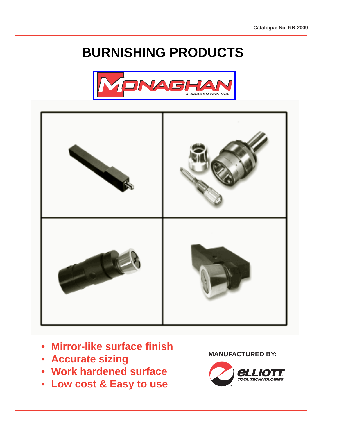# **BURNISHING PRODUCTS**





- **Mirror-like surface fi nish**
- **Accurate sizing**
- **Work hardened surface**
- **Low cost & Easy to use**

**MANUFACTURED BY:**

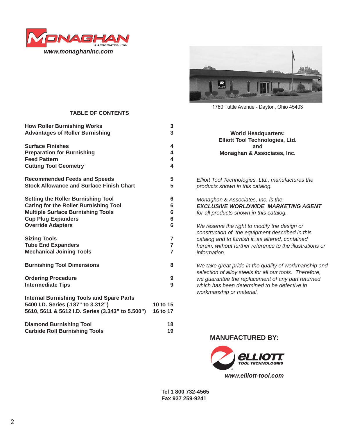



1760 Tuttle Avenue - Dayton, Ohio 45403

#### **TABLE OF CONTENTS**

| <b>How Roller Burnishing Works</b>                                                                                                         | 3                    |
|--------------------------------------------------------------------------------------------------------------------------------------------|----------------------|
| <b>Advantages of Roller Burnishing</b>                                                                                                     | 3                    |
| <b>Surface Finishes</b>                                                                                                                    | 4                    |
| <b>Preparation for Burnishing</b>                                                                                                          | 4                    |
| <b>Feed Pattern</b>                                                                                                                        | 4                    |
| <b>Cutting Tool Geometry</b>                                                                                                               | 4                    |
| <b>Recommended Feeds and Speeds</b>                                                                                                        | 5                    |
| <b>Stock Allowance and Surface Finish Chart</b>                                                                                            | 5                    |
| <b>Setting the Roller Burnishing Tool</b>                                                                                                  | 6                    |
| <b>Caring for the Roller Burnishing Tool</b>                                                                                               | 6                    |
| <b>Multiple Surface Burnishing Tools</b>                                                                                                   | 6                    |
| <b>Cup Plug Expanders</b>                                                                                                                  | 6                    |
| <b>Override Adapters</b>                                                                                                                   | 6                    |
| <b>Sizing Tools</b>                                                                                                                        | 7                    |
| <b>Tube End Expanders</b>                                                                                                                  | $\overline{7}$       |
| <b>Mechanical Joining Tools</b>                                                                                                            | $\overline{7}$       |
| <b>Burnishing Tool Dimensions</b>                                                                                                          | 8                    |
| <b>Ordering Procedure</b>                                                                                                                  | 9                    |
| <b>Intermediate Tips</b>                                                                                                                   | 9                    |
| <b>Internal Burnishing Tools and Spare Parts</b><br>5400 I.D. Series (.187" to 3.312")<br>5610, 5611 & 5612 I.D. Series (3.343" to 5.500") | 10 to 15<br>16 to 17 |
| <b>Diamond Burnishing Tool</b>                                                                                                             | 18                   |
| <b>Carbide Roll Burnishing Tools</b>                                                                                                       | 19                   |

| <b>World Headquarters:</b>                                                           |
|--------------------------------------------------------------------------------------|
| <b>Elliott Tool Technologies, Ltd.</b>                                               |
| and                                                                                  |
| Monaghan & Associates, Inc.                                                          |
|                                                                                      |
| Elliott Tool Technologies, Ltd., manufactures the<br>products shown in this catalog. |

*Monaghan & Associates, Inc. is the EXCLUSIVE WORLDWIDE MARKETING AGENT for all products shown in this catalog.* 

*We reserve the right to modify the design or construction of the equipment described in this catalog and to furnish it, as altered, contained herein, without further reference to the illustrations or information.*

*We take great pride in the quality of workmanship and selection of alloy steels for all our tools. Therefore, we guarantee the replacement of any part returned which has been determined to be defective in workmanship or material.*

#### **MANUFACTURED BY:**



**Tel 1 800 732-4565 Fax 937 259-9241**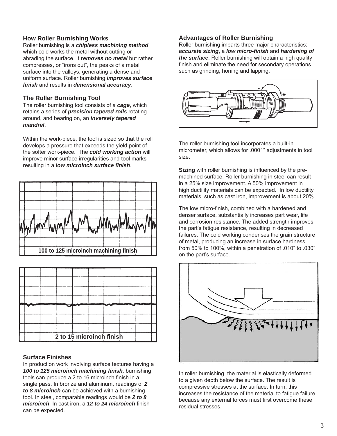#### **How Roller Burnishing Works**

Roller burnishing is a *chipless machining method* which cold works the metal without cutting or abrading the surface. It *removes no metal* but rather compresses, or "irons out", the peaks of a metal surface into the valleys, generating a dense and uniform surface. Roller burnishing *improves surface fi nish* and results in *dimensional accuracy*.

#### **The Roller Burnishing Tool**

The roller burnishing tool consists of a *cage*, which retains a series of *precision tapered rolls* rotating around, and bearing on, an *inversely tapered mandrel*.

Within the work-piece, the tool is sized so that the roll develops a pressure that exceeds the yield point of the softer work-piece. The *cold working action* will improve minor surface irregularities and tool marks resulting in a *low microinch surface finish.* 





#### **Surface Finishes**

In production work involving surface textures having a **100 to 125 microinch machining finish, burnishing** tools can produce a 2 to 16 microinch finish in a single pass. In bronze and aluminum, readings of *2 to 8 microinch* can be achieved with a burnishing tool. In steel, comparable readings would be *2 to 8 microinch*. In cast iron, a 12 to 24 microinch finish can be expected.

#### **Advantages of Roller Burnishing**

Roller burnishing imparts three major characteristics: *accurate sizing*, a *low micro-fi nish* and *hardening of the surface*. Roller burnishing will obtain a high quality finish and eliminate the need for secondary operations such as grinding, honing and lapping.



The roller burnishing tool incorporates a built-in micrometer, which allows for .0001" adjustments in tool size.

**Sizing** with roller burnishing is influenced by the premachined surface. Roller burnishing in steel can result in a 25% size improvement. A 50% improvement in high ductility materials can be expected. In low ductility materials, such as cast iron, improvement is about 20%.

The low micro-finish, combined with a hardened and denser surface, substantially increases part wear, life and corrosion resistance. The added strength improves the part's fatigue resistance, resulting in decreased failures. The cold working condenses the grain structure of metal, producing an increase in surface hardness from 50% to 100%, within a penetration of .010" to .030" on the part's surface.



In roller burnishing, the material is elastically deformed to a given depth below the surface. The result is compressive stresses at the surface. In turn, this increases the resistance of the material to fatigue failure because any external forces must first overcome these residual stresses.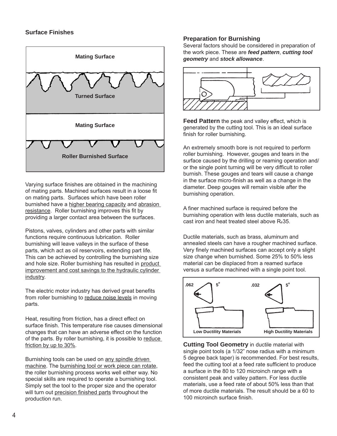#### **Surface Finishes**



Varying surface finishes are obtained in the machining of mating parts. Machined surfaces result in a loose fit on mating parts. Surfaces which have been roller burnished have a higher bearing capacity and abrasion resistance. Roller burnishing improves this fit by providing a larger contact area between the surfaces.

Pistons, valves, cylinders and other parts with similar functions require continuous lubrication. Roller burnishing will leave valleys in the surface of these parts, which act as oil reservoirs, extending part life. This can be achieved by controlling the burnishing size and hole size. Roller burnishing has resulted in product improvement and cost savings to the hydraulic cylinder industry.

The electric motor industry has derived great benefits from roller burnishing to reduce noise levels in moving parts.

Heat, resulting from friction, has a direct effect on surface finish. This temperature rise causes dimensional changes that can have an adverse effect on the function of the parts. By roller burnishing, it is possible to reduce friction by up to 30%.

Burnishing tools can be used on any spindle driven machine. The burnishing tool or work piece can rotate, the roller burnishing process works well either way. No special skills are required to operate a burnishing tool. Simply set the tool to the proper size and the operator will turn out precision finished parts throughout the production run.

#### **Preparation for Burnishing**

Several factors should be considered in preparation of the work piece. These are *feed pattern*, *cutting tool geometry* and *stock allowance*.



**Feed Pattern** the peak and valley effect, which is generated by the cutting tool. This is an ideal surface finish for roller burnishing.

An extremely smooth bore is not required to perform roller burnishing. However, gouges and tears in the surface caused by the drilling or reaming operation and/ or the single point turning will be very difficult to roller burnish. These gouges and tears will cause a change in the surface micro-finish as well as a change in the diameter. Deep gouges will remain visible after the burnishing operation.

A finer machined surface is required before the burnishing operation with less ductile materials, such as cast iron and heat treated steel above R*c*35.

Ductile materials, such as brass, aluminum and annealed steels can have a rougher machined surface. Very finely machined surfaces can accept only a slight size change when burnished. Some 25% to 50% less material can be displaced from a reamed surface versus a surface machined with a single point tool.



**Cutting Tool Geometry** in ductile material with single point tools (a 1/32" nose radius with a minimum 5 degree back taper) is recommended. For best results, feed the cutting tool at a feed rate sufficient to produce a surface in the 80 to 120 microinch range with a consistent peak and valley pattern. For less ductile materials, use a feed rate of about 50% less than that of more ductile materials. The result should be a 60 to 100 microinch surface finish.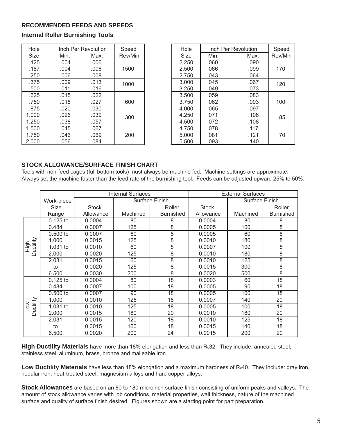#### **RECOMMENDED FEEDS AND SPEEDS**

**Internal Roller Burnishing Tools**

| Hole        |      | Inch Per Revolution | Speed   | Hole  |      | Inch Per Revolution | Speed   |
|-------------|------|---------------------|---------|-------|------|---------------------|---------|
| <b>Size</b> | Min. | Max.                | Rev/Min | Size  | Min. | Max.                | Rev/Min |
| .125        | .004 | .006                |         | 2.250 | .060 | .090                |         |
| .187        | .004 | .006                | 1500    | 2.500 | .066 | .099                | 170     |
| .250        | .006 | .008                |         | 2.750 | .043 | .064                |         |
| .375        | .009 | .013                | 1000    | 3.000 | .045 | .067                | 120     |
| .500        | .011 | .016                |         | 3.250 | .049 | .073                |         |
| .625        | .015 | .022                |         | 3.500 | .059 | .083                |         |
| .750        | .018 | .027                | 600     | 3.750 | .062 | .093                | 100     |
| .875        | .020 | .030                |         | 4.000 | .065 | .097                |         |
| 1.000       | .026 | .039                | 300     | 4.250 | .071 | .106                | 85      |
| 1.250       | .038 | .057                |         | 4.500 | .072 | .108                |         |
| 1.500       | .045 | .067                |         | 4.750 | .078 | .117                |         |
| 1.750       | .046 | .069                | 200     | 5.000 | .081 | .121                | 70      |
| 2.000       | .056 | .084                |         | 5.500 | .093 | .140                |         |

| Hole  |      | Inch Per Revolution | Speed   |
|-------|------|---------------------|---------|
| Size  | Min. | Max.                | Rev/Min |
| 2.250 | .060 | .090                |         |
| 2.500 | .066 | .099                | 170     |
| 2.750 | .043 | .064                |         |
| 3.000 | .045 | .067                | 120     |
| 3.250 | .049 | .073                |         |
| 3.500 | .059 | .083                |         |
| 3.750 | .062 | .093                | 100     |
| 4.000 | .065 | .097                |         |
| 4.250 | .071 | .106                | 85      |
| 4.500 | .072 | .108                |         |
| 4.750 | .078 | .117                |         |
| 5.000 | .081 | .121                | 70      |
| 5.500 | .093 | .140                |         |

#### **STOCK ALLOWANCE/SURFACE FINISH CHART**

Tools with non-feed cages (full bottom tools) must always be machine fed. Machine settings are approximate. Always set the machine faster than the feed rate of the burnishing tool. Feeds can be adjusted upward 25% to 50%.

|           |            |              | <b>Internal Surfaces</b> |                  |              | <b>External Surfaces</b> |                  |  |
|-----------|------------|--------------|--------------------------|------------------|--------------|--------------------------|------------------|--|
|           | Work-piece |              |                          | Surface Finish   |              | Surface Finish           |                  |  |
|           | Size       | <b>Stock</b> |                          | Roller           | <b>Stock</b> |                          | Roller           |  |
|           | Range      | Allowance    | Machined                 | <b>Burnished</b> | Allowance    | Machined                 | <b>Burnished</b> |  |
|           | $0.125$ to | 0.0004       | 80                       | 8                | 0.0004       | 80                       | 8                |  |
|           | 0.484      | 0.0007       | 125                      | 8                | 0.0005       | 100                      | 8                |  |
|           | $0.500$ to | 0.0007       | 60                       | $\overline{8}$   | 0.0005       | 60                       | $\overline{8}$   |  |
|           | 1.000      | 0.0015       | 125                      | 8                | 0.0010       | 180                      | 8                |  |
| High      | 1.031 to   | 0.0010       | 60                       | $\overline{8}$   | 0.0007       | 100                      | $\overline{8}$   |  |
| Ductility | 2.000      | 0.0020       | 125                      | 8                | 0.0010       | 180                      | 8                |  |
|           | 2.031      | 0.0015       | 60                       | $\overline{8}$   | 0.0010       | 125                      | $\overline{8}$   |  |
|           | to         | 0.0020       | 125                      | 8                | 0.0015       | 300                      | 8                |  |
|           | 6.500      | 0.0030       | 200                      | 8                | 0.0020       | 500                      | 8                |  |
|           | $0.125$ to | 0.0004       | 80                       | 18               | 0.0003       | 60                       | 18               |  |
|           | 0.484      | 0.0007       | 100                      | 18               | 0.0005       | 90                       | 18               |  |
|           | $0.500$ to | 0.0007       | 90                       | $\overline{18}$  | 0.0005       | 100                      | $\overline{18}$  |  |
| uctility  | 1.000      | 0.0010       | 125                      | 18               | 0.0007       | 140                      | 20               |  |
| $\geq$    | 1.031 to   | 0.0010       | 125                      | 18               | 0.0005       | 100                      | 18               |  |
| ≏         | 2.000      | 0.0015       | 180                      | 20               | 0.0010       | 180                      | 20               |  |
|           | 2.031      | 0.0015       | 120                      | $\overline{18}$  | 0.0010       | 125                      | $\overline{18}$  |  |
|           | to         | 0.0015       | 160                      | 18               | 0.0015       | 140                      | 18               |  |
|           | 6.500      | 0.0020       | 200                      | 24               | 0.0015       | 200                      | 20               |  |

**High Ductility Materials** have more than 18% elongation and less than R*c*32. They include: annealed steel, stainless steel, aluminum, brass, bronze and malleable iron.

**Low Ductility Materials** have less than 18% elongation and a maximum hardness of R*c*40. They include: gray iron, nodular iron, heat-treated steel, magnesium alloys and hard copper alloys.

**Stock Allowances** are based on an 80 to 180 microinch surface finish consisting of uniform peaks and valleys. The amount of stock allowance varies with job conditions, material properties, wall thickness, nature of the machined surface and quality of surface finish desired. Figures shown are a starting point for part preparation.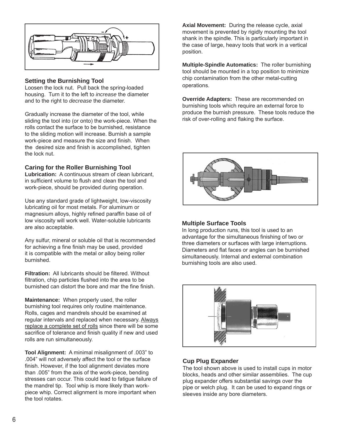

#### **Setting the Burnishing Tool**

Loosen the lock nut. Pull back the spring-loaded housing. Turn it to the left to *increase* the diameter and to the right to *decrease* the diameter.

Gradually increase the diameter of the tool, while sliding the tool into (or onto) the work-piece. When the rolls contact the surface to be burnished, resistance to the sliding motion will increase. Burnish a sample work-piece and measure the size and finish. When the desired size and finish is accomplished, tighten the lock nut.

#### **Caring for the Roller Burnishing Tool**

**Lubrication:** A continuous stream of clean lubricant, in sufficient volume to flush and clean the tool and work-piece, should be provided during operation.

Use any standard grade of lightweight, low-viscosity lubricating oil for most metals. For aluminum or magnesium alloys, highly refined paraffin base oil of low viscosity will work well. Water-soluble lubricants are also acceptable.

Any sulfur, mineral or soluble oil that is recommended for achieving a fine finish may be used, provided it is compatible with the metal or alloy being roller burnished.

**Filtration:** All lubricants should be filtered. Without filtration, chip particles flushed into the area to be burnished can distort the bore and mar the fine finish.

**Maintenance:** When properly used, the roller burnishing tool requires only routine maintenance. Rolls, cages and mandrels should be examined at regular intervals and replaced when necessary. Always replace a complete set of rolls since there will be some sacrifice of tolerance and finish quality if new and used rolls are run simultaneously.

**Tool Alignment:** A minimal misalignment of .003" to .004" will not adversely affect the tool or the surface finish. However, if the tool alignment deviates more than .005" from the axis of the work-piece, bending stresses can occur. This could lead to fatigue failure of the mandrel tip. Tool whip is more likely than workpiece whip. Correct alignment is more important when the tool rotates.

**Axial Movement:** During the release cycle, axial movement is prevented by rigidly mounting the tool shank in the spindle. This is particularly important in the case of large, heavy tools that work in a vertical position.

**Multiple-Spindle Automatics:** The roller burnishing tool should be mounted in a top position to minimize chip contamination from the other metal-cutting operations.

**Override Adapters:** These are recommended on burnishing tools which require an external force to produce the burnish pressure. These tools reduce the risk of over-rolling and flaking the surface.



#### **Multiple Surface Tools**

In long production runs, this tool is used to an advantage for the simultaneous finishing of two or three diameters or surfaces with large interruptions. Diameters and flat faces or angles can be burnished simultaneously. Internal and external combination burnishing tools are also used.



#### **Cup Plug Expander**

The tool shown above is used to install cups in motor blocks, heads and other similar assemblies. The cup plug expander offers substantial savings over the pipe or welch plug. It can be used to expand rings or sleeves inside any bore diameters.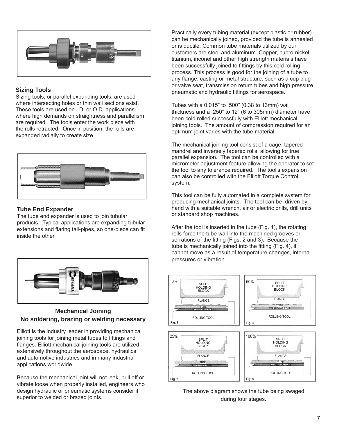

#### **Sizing Tools**

Sizing tools, or parallel expanding tools, are used where intersecting holes or thin wall sections exist. These tools are used on I.D. or O.D. applications where high demands on straightness and parallelism are required. The tools enter the work piece with the rolls retracted. Once in position, the rolls are expanded radially to create size.



#### **Tube End Expander**

The tube end expander is used to join tubular products. Typical applications are expanding tubular extensions and flaring tail-pipes, so one-piece can fit inside the other.



#### **Mechanical Joining No soldering, brazing or welding necessary**

Elliott is the industry leader in providing mechanical joining tools for joining metal tubes to fittings and flanges. Elliott mechanical joining tools are utilized extensively throughout the aerospace, hydraulics and automotive industries and in many industrial applications worldwide.

Because the mechanical joint will not leak, pull off or vibrate loose when properly installed, engineers who design hydraulic or pneumatic systems consider it superior to welded or brazed joints.

Practically every tubing material (except plastic or rubber) can be mechanically joined, provided the tube is annealed or is ductile. Common tube materials utilized by our customers are steel and aluminum. Copper, cupro-nickel, titanium, inconel and other high strength materials have been successfully joined to fittings by this cold rolling process. This process is good for the joining of a tube to any flange, casting or metal structure, such as a cup plug or valve seat, transmission return tubes and high pressure pneumatic and hydraulic fittings for aerospace.

Tubes with a 0.015" to .500" (0.38 to 13mm) wall thickness and a .250" to 12" (6 to 305mm) diameter have been cold rolled successfully with Elliott mechanical joining tools. The amount of compression required for an optimum joint varies with the tube material.

The mechanical joining tool consist of a cage, tapered mandrel and inversely tapered rolls, allowing for true parallel expansion. The tool can be controlled with a micrometer adjustment feature allowing the operator to set the tool to any tolerance required. The tool's expansion can also be controlled with the Elliott Torque Control system.

This tool can be fully automated in a complete system for producing mechanical joints. The tool can be driven by hand with a suitable wrench, air or electric drills, drill units or standard shop machines.

After the tool is inserted in the tube (Fig. 1), the rotating rolls force the tube wall into the machined grooves or serrations of the fitting (Figs. 2 and 3). Because the tube is mechanically joined into the fitting (Fig. 4), it cannot move as a result of temperature changes, internal pressures or vibration.



The above diagram shows the tube being swaged during four stages.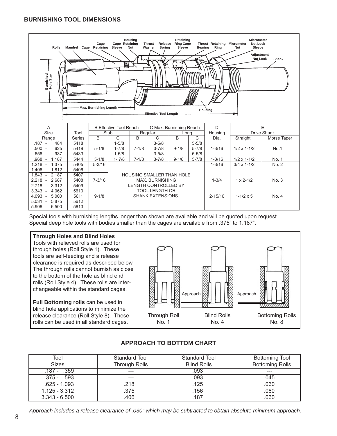#### **BURNISHING TOOL DIMENSIONS**

| Housing<br>Retaining<br><b>Micrometer</b><br><b>Ring Cage</b><br>Thrust Retaining Micrometer<br>Cage<br>Cage Retaining<br><b>Thrust</b><br>Release<br><b>Nut Lock</b><br>Mandrel Cage Retaining Sleeve<br><b>Rolls</b><br><b>Nut</b><br>Washer<br>Spring<br>Sleeve<br><b>Bearing</b><br>Ring<br>Sleeve<br>Nut<br><b>Adiustment</b><br><b>Nut Lock</b><br>Shank<br>≣<br>Burnished<br>Hole Size<br>J<br><b>Max. Burnishing Length</b><br>Housing<br>-Effective Tool Length |        |            |                               |              |                                  |                |           |                 |                         |       |  |
|--------------------------------------------------------------------------------------------------------------------------------------------------------------------------------------------------------------------------------------------------------------------------------------------------------------------------------------------------------------------------------------------------------------------------------------------------------------------------|--------|------------|-------------------------------|--------------|----------------------------------|----------------|-----------|-----------------|-------------------------|-------|--|
| A<br>Size                                                                                                                                                                                                                                                                                                                                                                                                                                                                | Tool   |            | <b>B Effective Tool Reach</b> |              | C Max. Burnishing Reach          |                |           |                 | E<br><b>Drive Shank</b> |       |  |
| Range                                                                                                                                                                                                                                                                                                                                                                                                                                                                    | Series | Stub<br>B  | $\overline{C}$                | Regular<br>B | C                                | Long<br>B<br>C |           | Housing<br>Dia. | Straight<br>Morse Taper |       |  |
| .484<br>$.187 -$                                                                                                                                                                                                                                                                                                                                                                                                                                                         | 5418   |            | $1 - 5/8$                     |              | $3 - 5/8$                        |                | $5 - 5/8$ |                 |                         |       |  |
| .625<br>.500 -                                                                                                                                                                                                                                                                                                                                                                                                                                                           | 5419   | $5 - 1/8$  | $1 - 7/8$                     | $7 - 1/8$    | $3 - 7/8$                        | $9 - 1/8$      | $5 - 7/8$ | $1 - 3/16$      | $1/2 \times 1 - 1/2$    | No.1  |  |
| .937<br>$.656 -$                                                                                                                                                                                                                                                                                                                                                                                                                                                         | 5433   |            | $1 - 5/8$                     |              | $3 - 5/8$                        |                | $5 - 5/8$ |                 |                         |       |  |
| 1.187<br>.968                                                                                                                                                                                                                                                                                                                                                                                                                                                            | 5444   | $5 - 1/8$  | $1 - 7/8$                     | $7 - 1/8$    | $3 - 7/8$                        | $9 - 1/8$      | $5 - 7/8$ | $1 - 3/16$      | $1/2 \times 1 - 1/2$    | No. 1 |  |
| $1.218 -$<br>1.375                                                                                                                                                                                                                                                                                                                                                                                                                                                       | 5405   | $5 - 3/16$ |                               |              |                                  |                |           | $1 - 3/16$      | $3/4 \times 1 - 1/2$    | No. 2 |  |
| $1.406 -$<br>1.812                                                                                                                                                                                                                                                                                                                                                                                                                                                       | 5406   |            |                               |              |                                  |                |           |                 |                         |       |  |
| $1.843 -$<br>2.187                                                                                                                                                                                                                                                                                                                                                                                                                                                       | 5407   |            |                               |              | <b>HOUSING SMALLER THAN HOLE</b> |                |           |                 |                         |       |  |
| $2.218 -$<br>2.687                                                                                                                                                                                                                                                                                                                                                                                                                                                       | 5408   | $7 - 3/16$ |                               |              | <b>MAX. BURNISHING</b>           |                |           | $1 - 3/4$       | $1 \times 2 - 1/2$      | No. 3 |  |
| 3.312<br>$2.718 -$                                                                                                                                                                                                                                                                                                                                                                                                                                                       | 5409   |            |                               |              | <b>LENGTH CONTROLLED BY</b>      |                |           |                 |                         |       |  |
| $3.343 -$<br>4.062                                                                                                                                                                                                                                                                                                                                                                                                                                                       | 5610   |            |                               |              | <b>TOOL LENGTH OR</b>            |                |           |                 |                         |       |  |
| $4.093 -$<br>5.000                                                                                                                                                                                                                                                                                                                                                                                                                                                       | 5611   | $9 - 1/8$  |                               |              | <b>SHANK EXTENSIONS.</b>         |                |           | $2 - 15/16$     | $1 - 1/2 \times 5$      | No. 4 |  |
| 5.875<br>5.031<br>$\sim$                                                                                                                                                                                                                                                                                                                                                                                                                                                 | 5612   |            |                               |              |                                  |                |           |                 |                         |       |  |
| 6.500<br>$5.906 -$                                                                                                                                                                                                                                                                                                                                                                                                                                                       | 5613   |            |                               |              |                                  |                |           |                 |                         |       |  |

Special tools with burnishing lengths longer than shown are available and will be quoted upon request. Special deep hole tools with bodies smaller than the cages are available from .375" to 1.187".

#### **Through Holes and Blind Holes**

Tools with relieved rolls are used for through holes (Roll Style 1). These tools are self-feeding and a release clearance is required as described below. The through rolls cannot burnish as close to the bottom of the hole as blind end rolls (Roll Style 4). These rolls are interchangeable within the standard cages.

**Full Bottoming rolls** can be used in blind hole applications to minimize the release clearance (Roll Style 8). These rolls can be used in all standard cages.



| Tool            | Standard Tool        | Standard Tool      | <b>Bottoming Tool</b>  |
|-----------------|----------------------|--------------------|------------------------|
| <b>Sizes</b>    | <b>Through Rolls</b> | <b>Blind Rolls</b> | <b>Bottoming Rolls</b> |
| $.187 - .359$   | ---                  | .093               | ---                    |
| $.375 - .593$   | ---                  | .093               | .045                   |
| $.625 - 1.093$  | .218                 | .125               | .060                   |
| $1.125 - 3.312$ | .375                 | .156               | .060                   |
| $3.343 - 6.500$ | 406                  | .187               | 060                    |

#### **APPROACH TO BOTTOM CHART**

*Approach includes a release clearance of .030" which may be subtracted to obtain absolute minimum approach.*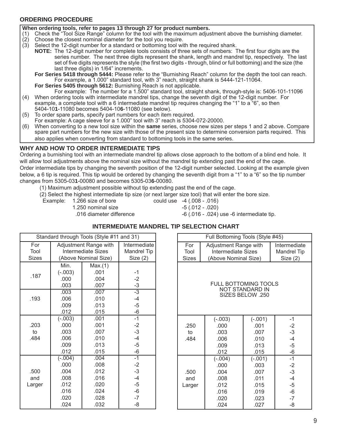#### **ORDERING PROCEDURE**

#### **When ordering tools, refer to pages 13 through 27 for product numbers.**

- (1) Check the "Tool Size Range" column for the tool with the maximum adjustment above the burnishing diameter.
- $(2)$  Choose the closest nominal diameter for the tool you require.
- (3) Select the 12-digit number for a standard or bottoming tool with the required shank.
	- **NOTE:** The 12-digit number for complete tools consists of three sets of numbers: The first four digits are the series number. The next three digits represent the shank, length and mandrel tip, respectively. The last set of five digits represents the style (the first two digits - through, blind or full bottoming) and the size (the last three digits) in 1/64" increments.

 **For Series 5418 through 5444:** Please refer to the "Burnishing Reach" column for the depth the tool can reach. For example, a 1.000" standard tool, with 3" reach, straight shank is 5444-121-11064.

 **For Series 5405 through 5612:** Burnishing Reach is not applicable. For example: The number for a 1.500" standard tool, straight shank, through-style is: 5406-101-11096

- (4) When ordering tools with intermediate mandrel tips, change the seventh digit of the 12-digit number. For example, a complete tool with a 6 intermediate mandrel tip requires changing the "1" to a "6", so then 5404-10**1**-11080 becomes 5404-10**6**-11080 (see below).
- (5) To order spare parts, specify part numbers for each item required.
- For example: A cage sleeve for a 1.000" tool with 3" reach is 5304-072-20000.
- (6) When converting to a new tool size within the **same** series, choose new sizes per steps 1 and 2 above. Compare spare part numbers for the new size with those of the present size to determine conversion parts required. This also applies when converting from standard to bottoming tools in the same series.

#### **WHY AND HOW TO ORDER INTERMEDIATE TIPS**

Ordering a burnishing tool with an intermediate mandrel tip allows close approach to the bottom of a blind end hole. It will allow tool adjustments above the nominal size without the mandrel tip extending past the end of the cage. Order intermediate tips by changing the seventh position of the 12-digit number selected. Looking at the example given below, a 6 tip is required. This tip would be ordered by changing the seventh digit from a "1" to a "6" so the tip number changes from 5305-03**1**-00080 and becomes 5305-03**6**-00080.

(1) Maximum adjustment possible without tip extending past the end of the cage.

(2) Select the highest intermediate tip size (or next larger size tool) that will enter the bore size.

- Example: 1.266 size of bore could use -4 (.008 .016)
	- 1.250 nominal size -5 (.012 .020)
- 

.016 diameter difference -6 (.016 - .024) use -6 intermediate tip.

#### **INTERMEDIATE MANDREL TIP SELECTION CHART**

|              |           | Standard through Tools (Style #11 and 31) |                    |
|--------------|-----------|-------------------------------------------|--------------------|
| For          |           | Adjustment Range with                     | Intermediate       |
| Tool         |           | <b>Intermediate Sizes</b>                 | <b>Mandrel Tip</b> |
| <b>Sizes</b> |           | (Above Nominal Size)                      | Size(2)            |
|              | Min.      | Max.(1)                                   |                    |
|              | $(-.003)$ | .001                                      | $-1$               |
| .187         | .000      | .004                                      | $-2$               |
|              | .003      | .007                                      | $\frac{-3}{-3}$    |
|              | .003      | .007                                      |                    |
| .193         | .006      | .010                                      | $-4$               |
|              | .009      | .013                                      | $-5$               |
|              | .012      | .015                                      | $-6$               |
|              | $(-.003)$ | .001                                      | $-1$               |
| .203         | .000      | .001                                      | $-2$               |
| to           | .003      | .007                                      | $-3$               |
| .484         | .006      | .010                                      | $-4$               |
|              | .009      | .013                                      | $-5$               |
|              | .012      | .015                                      | $-6$               |
|              | $(-.004)$ | .004                                      | $-1$               |
|              | .000      | .008                                      | $-2$               |
| .500         | .004      | .012                                      | $-3$               |
| and          | .008      | .016                                      | $-4$               |
| Larger       | .012      | .020                                      | $-5$               |
|              | .016      | .024                                      | $-6$               |
|              | .020      | .028                                      | $-7$               |
|              | .024      | .032                                      | -8                 |

| Full Bottoming Tools (Style #45)                                   |                       |                    |              |  |  |  |  |  |  |  |  |
|--------------------------------------------------------------------|-----------------------|--------------------|--------------|--|--|--|--|--|--|--|--|
| For                                                                | Adjustment Range with |                    | Intermediate |  |  |  |  |  |  |  |  |
| Tool                                                               | Intermediate Sizes    | <b>Mandrel Tip</b> |              |  |  |  |  |  |  |  |  |
| <b>Sizes</b>                                                       | (Above Nominal Size)  |                    | Size(2)      |  |  |  |  |  |  |  |  |
| <b>FULL BOTTOMING TOOLS</b><br>NOT STANDARD IN<br>SIZES BELOW .250 |                       |                    |              |  |  |  |  |  |  |  |  |
|                                                                    | $(-.003)$             | $(-.001)$          | $-1$         |  |  |  |  |  |  |  |  |
| .250                                                               | .000                  | .001               |              |  |  |  |  |  |  |  |  |
| to                                                                 | .003                  | .007               | $-2$<br>$-3$ |  |  |  |  |  |  |  |  |
| .484                                                               | .006                  | .010               | $-4$         |  |  |  |  |  |  |  |  |
|                                                                    | .009                  | .013               | $-5$         |  |  |  |  |  |  |  |  |
|                                                                    | .012                  | .015               | $-6$         |  |  |  |  |  |  |  |  |
|                                                                    | $(-.004)$             | $(-.001)$          | $-1$         |  |  |  |  |  |  |  |  |
|                                                                    | .000                  | .003               | $-2$         |  |  |  |  |  |  |  |  |
| .500                                                               | .004                  | .007               | $-3$         |  |  |  |  |  |  |  |  |
| and                                                                | .008                  | .011               | $-4$         |  |  |  |  |  |  |  |  |
| Larger                                                             | .012                  | .015               | $-5$         |  |  |  |  |  |  |  |  |
|                                                                    | .016                  | .019               | $-6$         |  |  |  |  |  |  |  |  |
|                                                                    | .020                  | .023               | $-7$         |  |  |  |  |  |  |  |  |
|                                                                    | .024                  | .027               | -8           |  |  |  |  |  |  |  |  |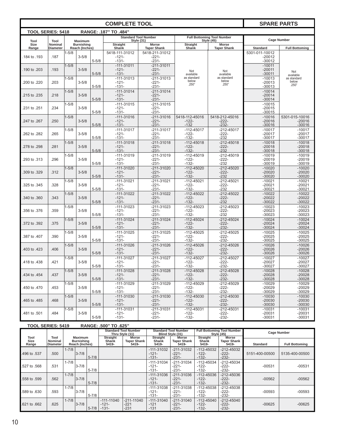|                          |                            |           |                                     |           | <b>COMPLETE TOOL</b>       |                                                  | <b>SPARE PARTS</b>        |                                                        |                      |                          |          |          |
|--------------------------|----------------------------|-----------|-------------------------------------|-----------|----------------------------|--------------------------------------------------|---------------------------|--------------------------------------------------------|----------------------|--------------------------|----------|----------|
| <b>TOOL SERIES: 5418</b> |                            |           |                                     |           | RANGE: .187" TO .484"      |                                                  |                           |                                                        |                      |                          |          |          |
| Tool                     | Tool                       |           | <b>Maximum</b>                      |           |                            | <b>Standard Tool Number</b><br><b>Style (31)</b> |                           | <b>Full Bottoming Tool Number</b><br><b>Style (45)</b> |                      | <b>Cage Number</b>       |          |          |
| Size<br>Range            | Nominal<br><b>Diameter</b> |           | <b>Burnishing</b><br>Reach (Inches) |           | <b>Straight</b><br>Shank   | Morse<br><b>Taper Shank</b>                      | <b>Straight</b><br>Shank  | Morse<br><b>Taper Shank</b>                            | <b>Standard</b>      | <b>Full Bottoming</b>    |          |          |
|                          |                            | $1 - 5/8$ |                                     |           | 5418-111-31012             | 5418-211-31012                                   |                           |                                                        | 5301-011-10012       |                          |          |          |
| .184 to .193             | .187                       |           | $3 - 5/8$                           | $5 - 5/8$ | $-121-$<br>$-131-$         | $-221-$<br>$-231-$                               |                           |                                                        | $-20012$<br>$-30012$ |                          |          |          |
|                          |                            | $1 - 5/8$ |                                     |           | $-111-31011$               | $-211 - 31011$                                   |                           |                                                        | $-10011$             |                          |          |          |
| .190 to .203             | .193                       |           | $3 - 5/8$                           | $5 - 5/8$ | $-121-$<br>$-131-$         | $-221-$<br>$-231-$                               | Not                       | Not                                                    | $-20011$<br>$-30011$ | Not                      |          |          |
|                          |                            | $1 - 5/8$ |                                     |           | $-111-31013$               | $-211 - 31013$                                   | available<br>as standard  | available<br>as standard                               | $-10013$             | available<br>as standard |          |          |
| .200 to .220             | .203                       |           | $3 - 5/8$                           |           | $-121-$                    | $-221-$                                          | below<br>.250"            | below<br>.250"                                         | $-20013$             | below<br>.250"           |          |          |
|                          |                            |           |                                     | $5 - 5/8$ | $-131-$                    | $-231-$                                          |                           |                                                        | $-30013$             |                          |          |          |
| .215 to .235             | .218                       | $1 - 5/8$ | $3 - 5/8$                           |           | $-111-31014$<br>$-121-$    | $-211 - 31014$<br>$-221-$                        |                           |                                                        | $-10014$<br>$-20014$ |                          |          |          |
|                          |                            |           |                                     | $5 - 5/8$ | $-131-$                    | $-231-$                                          |                           |                                                        | $-30014$             |                          |          |          |
|                          | .234                       | $1 - 5/8$ | $3 - 5/8$                           |           | $-111-31015$<br>$-121-$    | $-211 - 31015$<br>$-221-$                        |                           |                                                        | $-10015$             |                          |          |          |
| .231 to .251             |                            |           |                                     | $5 - 5/8$ | $-131-$                    | -231-                                            |                           |                                                        | $-20015$<br>$-30015$ |                          |          |          |
|                          |                            | $1 - 5/8$ |                                     |           | $-111-31016$               | $-211 - 31016$                                   | 5418-112-45016            | 5418-212-45016                                         | $-10016$             | 5301-015-10016           |          |          |
| .247 to .267             | .250                       |           | $3 - 5/8$                           | $5 - 5/8$ | $-121-$<br>$-131-$         | $-221-$<br>$-231-$                               | $-122-$<br>$-132$         | $-222-$<br>$-232-$                                     | $-20016$<br>$-30016$ | $-20016$<br>$-30016$     |          |          |
|                          |                            | $1 - 5/8$ |                                     |           | $-111-31017$               | $-211-31017$                                     | $-112 - 45017$            | $-212 - 45017$                                         | $-10017$             | $-10017$                 |          |          |
| 262 to .282              | .265                       |           | $3 - 5/8$                           |           | $-121-$                    | $-221-$                                          | $-122-$                   | $-222-$                                                | $-20017$             | $-20017$                 |          |          |
|                          |                            |           |                                     | $5 - 5/8$ | $-131-$                    | -231-                                            | $-132-$                   | $-232$                                                 | $-30017$             | $-30017$                 |          |          |
| 278 to .298              | .281                       | $1 - 5/8$ | $3 - 5/8$                           |           | $-111-31018$<br>$-121-$    | $-211 - 31018$<br>$-221-$                        | $-112 - 45018$<br>$-122-$ | $-212 - 45018$<br>$-222-$                              | $-10018$<br>$-20018$ | $-10018$<br>$-20018$     |          |          |
|                          |                            |           |                                     | $5 - 5/8$ | $-131-$                    | $-231-$                                          | $-132-$                   | $-232$                                                 | $-30018$             | $-30018$                 |          |          |
| .293 to .313             | .296                       | $1 - 5/8$ | $3 - 5/8$                           |           | $-111-31019$<br>$-121-$    | $-211 - 31019$<br>$-221-$                        | $-112 - 45019$<br>$-122-$ | $-212 - 45019$<br>$-222-$                              | $-10019$<br>$-20019$ | $-10019$<br>$-20019$     |          |          |
|                          |                            |           |                                     | $5 - 5/8$ | $-131-$                    | $-231-$                                          | $-132-$                   | $-232$                                                 | $-30019$             | $-30019$                 |          |          |
|                          |                            | $1 - 5/8$ |                                     |           | $-111-31020$               | $-211 - 31020$                                   | $-112 - 45020$            | $-212 - 45020$                                         | $-10020$             | $-10020$                 |          |          |
| 309 to .329              | .312                       |           | $3 - 5/8$                           | $5 - 5/8$ | $-121-$<br>$-131-$         | $-221-$<br>$-231-$                               | $-122-$<br>$-132-$        | $-222-$<br>$-232$                                      | $-20020$<br>$-30020$ | $-20020$<br>$-30020$     |          |          |
|                          |                            | $1 - 5/8$ |                                     |           | $-111-31021$               | $-211 - 31021$                                   | $-112 - 45021$            | $-212 - 45021$                                         | $-10021$             | $-10021$                 |          |          |
| .325 to .345             | .328                       |           | $3 - 5/8$                           |           |                            |                                                  | $-121-$                   | $-221-$                                                | $-122-$              | $-222-$                  | $-20021$ | $-20021$ |
|                          |                            | $1 - 5/8$ |                                     | $5 - 5/8$ | $-131-$<br>$-111-31022$    | $-231-$<br>$-211-31022$                          | $-132-$<br>$-112 - 45022$ | $-232$<br>$-212 - 45022$                               | $-30021$<br>$-10022$ | $-30021$<br>$-10022$     |          |          |
| .340 to .360             | .343                       |           | $3 - 5/8$                           |           | $-121-$                    | $-221-$                                          | $-122-$                   | $-222-$                                                | $-20022$             | $-20022$                 |          |          |
|                          |                            |           |                                     | $5 - 5/8$ | $-131-$                    | $-231-$                                          | $-132-$                   | $-232$                                                 | $-30022$             | $-30022$                 |          |          |
| 356 to .376              | .359                       | $1 - 5/8$ | $3 - 5/8$                           |           | $-111-31023$<br>$-121-$    | $-211 - 31023$<br>$-221-$                        | $-112 - 45023$<br>$-122-$ | $-212 - 45023$<br>$-222-$                              | $-10023$<br>$-20023$ | $-10023$<br>$-20023$     |          |          |
|                          |                            |           |                                     | $5 - 5/8$ | $-131-$                    | $-231-$                                          | $-132-$                   | $-232$                                                 | $-30023$             | $-30023$                 |          |          |
|                          |                            | $1 - 5/8$ |                                     |           | $-111-31024$               | $-211 - 31024$                                   | $-112 - 45024$            | $-212 - 45024$                                         | $-10024$             | $-10024$                 |          |          |
| .372 to .392             | .375                       |           | $3 - 5/8$                           | $5 - 5/8$ | $-121-$<br>$-131-$         | $-221-$<br>$-231-$                               | $-122-$<br>$-132-$        | $-222-$<br>$-232-$                                     | $-20024$<br>$-30024$ | $-20024$<br>$-30024$     |          |          |
|                          |                            | $1 - 5/8$ |                                     |           | $-111-31025$               | $-211 - 31025$                                   | $-112 - 45025$            | $-212 - 45025$                                         | $-10025$             | $-10025$                 |          |          |
| 387 to .407              | .390                       |           | $3 - 5/8$                           |           | $-121-$                    | $-221-$                                          | $-122-$                   | $-222-$                                                | $-20025$             | $-20025$                 |          |          |
|                          |                            | $1 - 5/8$ |                                     | $5 - 5/8$ | $-131-$<br>$-111-31026$    | $-231-$<br>$-211 - 31026$                        | $-132-$<br>$-112 - 45026$ | $-232-$<br>$-212 - 45026$                              | $-30025$<br>$-10026$ | $-30025$<br>$-10026$     |          |          |
| .403 to .423             | .406                       |           | $3 - 5/8$                           |           | $-121-$                    | $-221-$                                          | $-122-$                   | $-222-$                                                | $-20026$             | $-20026$                 |          |          |
|                          |                            |           |                                     | $5 - 5/8$ | $-131-$                    | $-231-$                                          | $-132-$                   | $-232-$                                                | $-30026$             | $-30026$                 |          |          |
| .418 to .438             | .421                       | $1 - 5/8$ | $3 - 5/8$                           |           | $-111-31027$<br>-121-      | $-211 - 31027$<br>-221-                          | $-112 - 45027$<br>$-122-$ | $-212 - 45027$<br>$-222-$                              | $-10027$<br>-20027   | $-10027$<br>$-20027$     |          |          |
|                          |                            |           |                                     | $5 - 5/8$ | -131-                      | -231-                                            | -132-                     | -232-                                                  | -30027               | -30027                   |          |          |
|                          |                            | $1 - 5/8$ |                                     |           | $-111-31028$               | $-211 - 31028$                                   | $-112 - 45028$            | -212-45028                                             | $-10028$             | $-10028$                 |          |          |
| .434 to .454             | .437                       |           | $3 - 5/8$                           | $5 - 5/8$ | $-121-$<br>$-131-$         | -221-<br>$-231-$                                 | $-122-$<br>$-132-$        | $-222-$<br>$-232-$                                     | $-20028$<br>$-30028$ | $-20028$<br>$-30028$     |          |          |
|                          |                            | $1 - 5/8$ |                                     |           | $-111-31029$               | $-211-31029$                                     | $-112 - 45029$            | $-212 - 45029$                                         | $-10029$             | $-10029$                 |          |          |
| .450 to .470             | .453                       |           | $3 - 5/8$                           |           | -121-                      | -221-                                            | -122-                     | -222-                                                  | -20029               | $-20029$                 |          |          |
|                          |                            | $1 - 5/8$ |                                     | $5 - 5/8$ | $-131-$<br>$-111 - 31030$  | -231-<br>$-211 - 31030$                          | $-132-$<br>$-112 - 45030$ | $-232-$<br>$-212 - 45030$                              | $-30029$<br>$-10030$ | $-30029$<br>$-10030$     |          |          |
| .465 to .485             | .468                       |           | $3 - 5/8$                           |           | $-121-$                    | $-221-$                                          | $-122-$                   | $-222-$                                                | $-20030$             | $-20030$                 |          |          |
|                          |                            |           |                                     | $5 - 5/8$ | $-131-$                    | $-231-$                                          | $-132-$                   | $-232-$                                                | $-30030$             | $-30030$                 |          |          |
| .481 to .501             | .484                       | $1 - 5/8$ | $3 - 5/8$                           |           | $-111-31031$<br>-121-      | -211-31031<br>-221-                              | $-112 - 45031$<br>$-122-$ | -212-45031<br>-222-                                    | $-10031$<br>-20031   | $-10031$<br>$-20031$     |          |          |
|                          |                            |           |                                     | $5 - 5/8$ | $-131-$                    | -231-                                            | $-132-$                   | -232-                                                  | -30031               | $-30031$                 |          |          |
| TOOL SEDIES 5410         |                            |           |                                     |           | $DANDE$ $EOM''$ TO $E2F''$ |                                                  |                           |                                                        |                      |                          |          |          |

|                       | IUUL ƏERIEƏ: 3419<br><b>UUCJUNA</b><br><b>CS0. UI</b> |                                                       |           |                                          |                                             |                                                |                                                                |                                                 |                                             |                                                        |                       |                |  |
|-----------------------|-------------------------------------------------------|-------------------------------------------------------|-----------|------------------------------------------|---------------------------------------------|------------------------------------------------|----------------------------------------------------------------|-------------------------------------------------|---------------------------------------------|--------------------------------------------------------|-----------------------|----------------|--|
|                       |                                                       |                                                       |           |                                          |                                             | <b>Standard Tool Number</b><br>Thru Style (11) |                                                                | <b>Standard Tool Number</b><br>Blind Style (31) | <b>Straight</b>                             | <b>Full Bottoming Tool Number</b><br><b>Style (45)</b> | <b>Cage Number</b>    |                |  |
| Tool<br>Size<br>Range | Tool<br><b>Nominal</b><br>Diameter                    | <b>Maximum</b><br><b>Burnishing</b><br>Reach (Inches) |           | <b>Straight</b><br><b>Shank</b><br>5419- | <b>Morse</b><br><b>Taper Shank</b><br>5419- | <b>Shank</b><br>5419-                          | <b>Morse</b><br><b>Straight</b><br><b>Taper Shank</b><br>5419- |                                                 | <b>Morse</b><br><b>Taper Shank</b><br>5419- | <b>Standard</b>                                        | <b>Full Bottoming</b> |                |  |
| .496 to .537          | .500                                                  | $1 - 7/8$                                             | $3 - 7/8$ | $5 - 7/8$                                |                                             |                                                | $-111-31032$<br>$-121-$<br>$-131-$                             | $-211 - 31032$<br>$-221-$<br>$-231-$            | $-112 - 45032$<br>$-122-$<br>$-132-$        | $-212 - 45032$<br>$-222-$<br>$-232-$                   | 5151-400-00500        | 5135-400-00500 |  |
| .527 to .568          | .531                                                  | $1 - 7/8$                                             | $3 - 7/8$ | $5 - 7/8$                                |                                             |                                                | $-111-31034$<br>$-121-$<br>$-131-$                             | $-211 - 31034$<br>$-221-$<br>$-231-$            | $-112 - 45034$<br>$-122-$<br>$-132-$        | $-212 - 45034$<br>$-222-$<br>-232-                     | $-00531$              | $-00531$       |  |
| .558 to .599          | .562                                                  | $1 - 7/8$                                             | $3 - 7/8$ | $5 - 7/8$                                |                                             |                                                | $-111 - 31036$<br>$-121-$<br>$-131-$                           | $-211 - 31036$<br>$-221-$<br>$-231-$            | $-112 - 45036$<br>$-122-$<br>$-132-$        | $-212 - 45036$<br>$-222-$<br>$-232-$                   | $-00562$              | $-00562$       |  |
| .589 to .630          | .593                                                  | $1 - 7/8$                                             | $3 - 7/8$ | $5 - 7/8$                                |                                             |                                                | $-111-31038$<br>$-121-$<br>$-131-$                             | $-211 - 31038$<br>$-221-$<br>$-231-$            | $-112 - 45038$<br>$-122-$<br>$-132-$        | $-212 - 45038$<br>$-222-$<br>$-232-$                   | $-00593$              | $-00593$       |  |
| .621 to .662          | .625                                                  | $1 - 7/8$                                             | $3 - 7/8$ | $5 - 7/8$                                | $-111-11040$<br>$-121-$<br>$-131-$          | $-211 - 11040$<br>$-221$<br>$-231$             | $-111 - 31040$<br>$-121$<br>$-131$                             | $-211-31040$<br>$-221-$<br>$-231-$              | $-112 - 45040$<br>$-122-$<br>$-132-$        | $-212 - 45040$<br>$-222-$<br>$-232-$                   | $-00625$              | $-00625$       |  |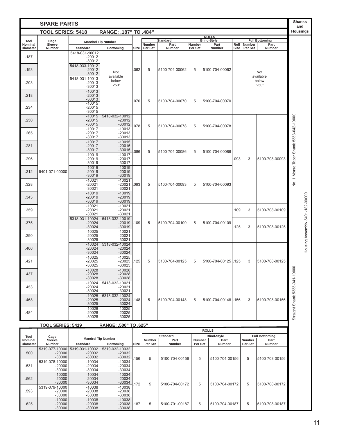| <b>Housings</b><br><b>TOOL SERIES: 5418</b><br>RANGE: .187" TO .484"<br><b>ROLLS</b><br><b>Standard</b><br><b>Blind-Style</b><br><b>Full Bottoming</b><br>Tool<br>Cage<br><b>Mandrel Tip Number</b><br>Sleeve<br><b>Number</b><br>Part<br>Part<br>Roll<br>Number<br>Part<br><b>Nominal</b><br>Number<br>Diameter<br>Number<br><b>Standard</b><br><b>Bottoming</b><br>Size<br>Per Set<br><b>Number</b><br>Per Set<br>Number<br>Size<br>Per Set<br>Number<br>5418-031-10012<br>.187<br>$-20012$<br>$-30012$<br>5418-033-10012<br>.193<br>062<br>5<br>$-20012$<br>5100-704-00062<br>5<br>5100-704-00062<br>Not<br>Not<br>$-30012$<br>available<br>available<br>5418-031-10013<br>below<br>below<br>.203<br>$-20013$<br>.250"<br>.250"<br>$-30013$<br>$-10013$<br>.218<br>$-20013$<br>$-30013$<br>.070<br>5<br>5100-704-00070<br>5<br>5100-704-00070<br>$-10015$<br>.234<br>$-20015$<br>$-30015$<br>No. 1 Morse Taper Shank 5333-042-10000<br>$-10015$<br>5418-032-10012<br>$-20015$<br>$-20012$<br>.250<br>$-30015$<br>$-30012$<br>078<br>5<br>5100-704-00078<br>5<br>5100-704-00078<br>$-10017$<br>$-10013$<br>$-20013$<br>.265<br>$-20017$<br>$-30017$<br>$-30013$<br>$-10017$<br>$-10015$<br>$-20015$<br>.281<br>$-20017$<br>$-30017$<br>$-30015$<br>086<br>5<br>5100-704-00086<br>5<br>5100-704-00086<br>$-10019$<br>$-10017$<br>.296<br>.093<br>3<br>$-20019$<br>$-20017$<br>5100-708-00093<br>$-30019$<br>$-30017$<br>$-10019$<br>$-10019$<br>.312<br>5401-071-00000<br>$-20019$<br>$-20019$<br>$-30019$<br>$-30019$<br>$-10021$<br>$-10021$<br>.328<br>5<br>$-20021$<br>$-20021$<br>093<br>5100-704-00093<br>5<br>5100-704-00093<br>$-30021$<br>$-30021$<br>$-10019$<br>$-10019$<br>Housing Assembly 5401-182-00000<br>$-20019$<br>$-20019$<br>.343<br>$-30019$<br>$-30019$<br>$-10021$<br>$-10021$<br>$-20021$<br>$-20021$<br>.109<br>.359<br>3<br>5100-708-00109<br>$-30021$<br>$-30021$<br>5418-032-10019<br>5318-031-10024<br>5<br>.375<br>$-20024$<br>$-20019$<br>.109<br>5100-704-00109<br>5<br>5100-704-00109<br>125<br>$-30024$<br>$-30019$<br>5100-708-00125<br>3<br>$-10025$<br>$-10021$<br>.390<br>$-20025$<br>$-20021$<br>$-30025$<br>$-30021$<br>$-10024$<br>5318-032-10024<br>$-20024$<br>.406<br>$-20024$<br>$-30024$<br>$-30024$<br>$-10025$<br>$-10025$<br>421<br>$-20025$<br>.125<br>5<br>5100-704-00125 .125<br>5100-708-00125<br>$-20025$<br>5100-704-00125<br>5<br>3<br>$-30025$<br>$-30025$<br>Straight Shank 5333-041-10000<br>$-10028$<br>$-10028$<br>.437<br>$-20028$<br>$-20028$<br>$-30028$<br>$-30028$<br>$-10024$<br>5418-032-10021<br>$-20024$<br>$-20021$<br>.453<br>$-30024$<br>$-30021$<br>$-10025$<br>5318-032-10024<br>$-20025$<br>$-20024$<br>5<br>5100-704-00148   .156<br>3<br>5100-708-00156<br>.468<br>.148<br>5100-704-00148<br>5<br>$-30025$<br>$-30024$<br>$-10028$<br>$-10025$<br>$-20028$<br>$-20025$<br>.484<br>$-30028$<br>$-30025$<br>RANGE: .500" TO .625"<br><b>TOOL SERIES: 5419</b><br><b>ROLLS</b><br><b>Blind-Style</b><br><b>Standard</b><br><b>Full Bottoming</b><br>Tool<br>Cage<br><b>Mandrel Tip Number</b><br>Part<br>Sleeve<br>Part<br>Part<br><b>Nominal</b><br><b>Number</b><br>Number<br><b>Number</b><br>Number<br>Number<br>Number<br><b>Standard</b><br><b>Bottoming</b><br>Size<br>Per Set<br>Per Set<br>Per Set<br>Number<br><b>Diameter</b><br>5319-032-10032<br>5319-077-10000<br>5319-031-10032<br>$-20000$<br>$-20032$<br>$-20032$<br>.500<br>$-30000$<br>$-30032$<br>$-30032$<br>156<br>5<br>5<br>5<br>5100-704-00156<br>5100-704-00156<br>5100-708-00156<br>5319-078-10000<br>$-10034$<br>$-10034$<br>$-20000$<br>$-20034$<br>$-20034$<br>.531<br>$-30000$<br>$-30034$<br>$-30034$<br>$-10034$<br>$-10000$<br>$-10034$<br>$-20034$<br>.562<br>$-20000$<br>$-20034$<br>$-30000$<br>$-30034$<br>$-30034$<br>172<br>5<br>5<br>5<br>5100-704-00172<br>5100-704-00172<br>5100-708-00172<br>5319-079-10000<br>$-10038$<br>$-10038$<br>.593<br>$-20000$<br>$-20038$<br>$-20038$<br>$-30038$<br>$-30000$<br>$-30038$<br>$-10000$<br>$-10038$<br>$-10038$<br>.187<br>5<br>5<br>5<br>.625<br>$-20000$<br>$-20038$<br>$-20038$<br>5100-701-00187<br>5100-704-00187<br>5100-708-00187<br>$-30000$<br>$-30038$<br>$-30038$ | <b>SPARE PARTS</b> |  |  |  |  |  |  |  | <b>Shanks</b><br>and |  |  |
|----------------------------------------------------------------------------------------------------------------------------------------------------------------------------------------------------------------------------------------------------------------------------------------------------------------------------------------------------------------------------------------------------------------------------------------------------------------------------------------------------------------------------------------------------------------------------------------------------------------------------------------------------------------------------------------------------------------------------------------------------------------------------------------------------------------------------------------------------------------------------------------------------------------------------------------------------------------------------------------------------------------------------------------------------------------------------------------------------------------------------------------------------------------------------------------------------------------------------------------------------------------------------------------------------------------------------------------------------------------------------------------------------------------------------------------------------------------------------------------------------------------------------------------------------------------------------------------------------------------------------------------------------------------------------------------------------------------------------------------------------------------------------------------------------------------------------------------------------------------------------------------------------------------------------------------------------------------------------------------------------------------------------------------------------------------------------------------------------------------------------------------------------------------------------------------------------------------------------------------------------------------------------------------------------------------------------------------------------------------------------------------------------------------------------------------------------------------------------------------------------------------------------------------------------------------------------------------------------------------------------------------------------------------------------------------------------------------------------------------------------------------------------------------------------------------------------------------------------------------------------------------------------------------------------------------------------------------------------------------------------------------------------------------------------------------------------------------------------------------------------------------------------------------------------------------------------------------------------------------------------------------------------------------------------------------------------------------------------------------------------------------------------------------------------------------------------------------------------------------------------------------------------------------------------------------------------------------------------------------------------------------------------------------------------------------------------------------------------------------------------------------------------------------------------------------------------------------------------------------------------------------------------------------------------------------------------------------------------------------------------------------------------------------------------------------------------------------------------------------------------------------------------------------------------------------------|--------------------|--|--|--|--|--|--|--|----------------------|--|--|
|                                                                                                                                                                                                                                                                                                                                                                                                                                                                                                                                                                                                                                                                                                                                                                                                                                                                                                                                                                                                                                                                                                                                                                                                                                                                                                                                                                                                                                                                                                                                                                                                                                                                                                                                                                                                                                                                                                                                                                                                                                                                                                                                                                                                                                                                                                                                                                                                                                                                                                                                                                                                                                                                                                                                                                                                                                                                                                                                                                                                                                                                                                                                                                                                                                                                                                                                                                                                                                                                                                                                                                                                                                                                                                                                                                                                                                                                                                                                                                                                                                                                                                                                                                                              |                    |  |  |  |  |  |  |  |                      |  |  |
|                                                                                                                                                                                                                                                                                                                                                                                                                                                                                                                                                                                                                                                                                                                                                                                                                                                                                                                                                                                                                                                                                                                                                                                                                                                                                                                                                                                                                                                                                                                                                                                                                                                                                                                                                                                                                                                                                                                                                                                                                                                                                                                                                                                                                                                                                                                                                                                                                                                                                                                                                                                                                                                                                                                                                                                                                                                                                                                                                                                                                                                                                                                                                                                                                                                                                                                                                                                                                                                                                                                                                                                                                                                                                                                                                                                                                                                                                                                                                                                                                                                                                                                                                                                              |                    |  |  |  |  |  |  |  |                      |  |  |
|                                                                                                                                                                                                                                                                                                                                                                                                                                                                                                                                                                                                                                                                                                                                                                                                                                                                                                                                                                                                                                                                                                                                                                                                                                                                                                                                                                                                                                                                                                                                                                                                                                                                                                                                                                                                                                                                                                                                                                                                                                                                                                                                                                                                                                                                                                                                                                                                                                                                                                                                                                                                                                                                                                                                                                                                                                                                                                                                                                                                                                                                                                                                                                                                                                                                                                                                                                                                                                                                                                                                                                                                                                                                                                                                                                                                                                                                                                                                                                                                                                                                                                                                                                                              |                    |  |  |  |  |  |  |  |                      |  |  |
|                                                                                                                                                                                                                                                                                                                                                                                                                                                                                                                                                                                                                                                                                                                                                                                                                                                                                                                                                                                                                                                                                                                                                                                                                                                                                                                                                                                                                                                                                                                                                                                                                                                                                                                                                                                                                                                                                                                                                                                                                                                                                                                                                                                                                                                                                                                                                                                                                                                                                                                                                                                                                                                                                                                                                                                                                                                                                                                                                                                                                                                                                                                                                                                                                                                                                                                                                                                                                                                                                                                                                                                                                                                                                                                                                                                                                                                                                                                                                                                                                                                                                                                                                                                              |                    |  |  |  |  |  |  |  |                      |  |  |
|                                                                                                                                                                                                                                                                                                                                                                                                                                                                                                                                                                                                                                                                                                                                                                                                                                                                                                                                                                                                                                                                                                                                                                                                                                                                                                                                                                                                                                                                                                                                                                                                                                                                                                                                                                                                                                                                                                                                                                                                                                                                                                                                                                                                                                                                                                                                                                                                                                                                                                                                                                                                                                                                                                                                                                                                                                                                                                                                                                                                                                                                                                                                                                                                                                                                                                                                                                                                                                                                                                                                                                                                                                                                                                                                                                                                                                                                                                                                                                                                                                                                                                                                                                                              |                    |  |  |  |  |  |  |  |                      |  |  |
|                                                                                                                                                                                                                                                                                                                                                                                                                                                                                                                                                                                                                                                                                                                                                                                                                                                                                                                                                                                                                                                                                                                                                                                                                                                                                                                                                                                                                                                                                                                                                                                                                                                                                                                                                                                                                                                                                                                                                                                                                                                                                                                                                                                                                                                                                                                                                                                                                                                                                                                                                                                                                                                                                                                                                                                                                                                                                                                                                                                                                                                                                                                                                                                                                                                                                                                                                                                                                                                                                                                                                                                                                                                                                                                                                                                                                                                                                                                                                                                                                                                                                                                                                                                              |                    |  |  |  |  |  |  |  |                      |  |  |
|                                                                                                                                                                                                                                                                                                                                                                                                                                                                                                                                                                                                                                                                                                                                                                                                                                                                                                                                                                                                                                                                                                                                                                                                                                                                                                                                                                                                                                                                                                                                                                                                                                                                                                                                                                                                                                                                                                                                                                                                                                                                                                                                                                                                                                                                                                                                                                                                                                                                                                                                                                                                                                                                                                                                                                                                                                                                                                                                                                                                                                                                                                                                                                                                                                                                                                                                                                                                                                                                                                                                                                                                                                                                                                                                                                                                                                                                                                                                                                                                                                                                                                                                                                                              |                    |  |  |  |  |  |  |  |                      |  |  |
|                                                                                                                                                                                                                                                                                                                                                                                                                                                                                                                                                                                                                                                                                                                                                                                                                                                                                                                                                                                                                                                                                                                                                                                                                                                                                                                                                                                                                                                                                                                                                                                                                                                                                                                                                                                                                                                                                                                                                                                                                                                                                                                                                                                                                                                                                                                                                                                                                                                                                                                                                                                                                                                                                                                                                                                                                                                                                                                                                                                                                                                                                                                                                                                                                                                                                                                                                                                                                                                                                                                                                                                                                                                                                                                                                                                                                                                                                                                                                                                                                                                                                                                                                                                              |                    |  |  |  |  |  |  |  |                      |  |  |
|                                                                                                                                                                                                                                                                                                                                                                                                                                                                                                                                                                                                                                                                                                                                                                                                                                                                                                                                                                                                                                                                                                                                                                                                                                                                                                                                                                                                                                                                                                                                                                                                                                                                                                                                                                                                                                                                                                                                                                                                                                                                                                                                                                                                                                                                                                                                                                                                                                                                                                                                                                                                                                                                                                                                                                                                                                                                                                                                                                                                                                                                                                                                                                                                                                                                                                                                                                                                                                                                                                                                                                                                                                                                                                                                                                                                                                                                                                                                                                                                                                                                                                                                                                                              |                    |  |  |  |  |  |  |  |                      |  |  |
|                                                                                                                                                                                                                                                                                                                                                                                                                                                                                                                                                                                                                                                                                                                                                                                                                                                                                                                                                                                                                                                                                                                                                                                                                                                                                                                                                                                                                                                                                                                                                                                                                                                                                                                                                                                                                                                                                                                                                                                                                                                                                                                                                                                                                                                                                                                                                                                                                                                                                                                                                                                                                                                                                                                                                                                                                                                                                                                                                                                                                                                                                                                                                                                                                                                                                                                                                                                                                                                                                                                                                                                                                                                                                                                                                                                                                                                                                                                                                                                                                                                                                                                                                                                              |                    |  |  |  |  |  |  |  |                      |  |  |
|                                                                                                                                                                                                                                                                                                                                                                                                                                                                                                                                                                                                                                                                                                                                                                                                                                                                                                                                                                                                                                                                                                                                                                                                                                                                                                                                                                                                                                                                                                                                                                                                                                                                                                                                                                                                                                                                                                                                                                                                                                                                                                                                                                                                                                                                                                                                                                                                                                                                                                                                                                                                                                                                                                                                                                                                                                                                                                                                                                                                                                                                                                                                                                                                                                                                                                                                                                                                                                                                                                                                                                                                                                                                                                                                                                                                                                                                                                                                                                                                                                                                                                                                                                                              |                    |  |  |  |  |  |  |  |                      |  |  |
|                                                                                                                                                                                                                                                                                                                                                                                                                                                                                                                                                                                                                                                                                                                                                                                                                                                                                                                                                                                                                                                                                                                                                                                                                                                                                                                                                                                                                                                                                                                                                                                                                                                                                                                                                                                                                                                                                                                                                                                                                                                                                                                                                                                                                                                                                                                                                                                                                                                                                                                                                                                                                                                                                                                                                                                                                                                                                                                                                                                                                                                                                                                                                                                                                                                                                                                                                                                                                                                                                                                                                                                                                                                                                                                                                                                                                                                                                                                                                                                                                                                                                                                                                                                              |                    |  |  |  |  |  |  |  |                      |  |  |
|                                                                                                                                                                                                                                                                                                                                                                                                                                                                                                                                                                                                                                                                                                                                                                                                                                                                                                                                                                                                                                                                                                                                                                                                                                                                                                                                                                                                                                                                                                                                                                                                                                                                                                                                                                                                                                                                                                                                                                                                                                                                                                                                                                                                                                                                                                                                                                                                                                                                                                                                                                                                                                                                                                                                                                                                                                                                                                                                                                                                                                                                                                                                                                                                                                                                                                                                                                                                                                                                                                                                                                                                                                                                                                                                                                                                                                                                                                                                                                                                                                                                                                                                                                                              |                    |  |  |  |  |  |  |  |                      |  |  |
|                                                                                                                                                                                                                                                                                                                                                                                                                                                                                                                                                                                                                                                                                                                                                                                                                                                                                                                                                                                                                                                                                                                                                                                                                                                                                                                                                                                                                                                                                                                                                                                                                                                                                                                                                                                                                                                                                                                                                                                                                                                                                                                                                                                                                                                                                                                                                                                                                                                                                                                                                                                                                                                                                                                                                                                                                                                                                                                                                                                                                                                                                                                                                                                                                                                                                                                                                                                                                                                                                                                                                                                                                                                                                                                                                                                                                                                                                                                                                                                                                                                                                                                                                                                              |                    |  |  |  |  |  |  |  |                      |  |  |
|                                                                                                                                                                                                                                                                                                                                                                                                                                                                                                                                                                                                                                                                                                                                                                                                                                                                                                                                                                                                                                                                                                                                                                                                                                                                                                                                                                                                                                                                                                                                                                                                                                                                                                                                                                                                                                                                                                                                                                                                                                                                                                                                                                                                                                                                                                                                                                                                                                                                                                                                                                                                                                                                                                                                                                                                                                                                                                                                                                                                                                                                                                                                                                                                                                                                                                                                                                                                                                                                                                                                                                                                                                                                                                                                                                                                                                                                                                                                                                                                                                                                                                                                                                                              |                    |  |  |  |  |  |  |  |                      |  |  |
|                                                                                                                                                                                                                                                                                                                                                                                                                                                                                                                                                                                                                                                                                                                                                                                                                                                                                                                                                                                                                                                                                                                                                                                                                                                                                                                                                                                                                                                                                                                                                                                                                                                                                                                                                                                                                                                                                                                                                                                                                                                                                                                                                                                                                                                                                                                                                                                                                                                                                                                                                                                                                                                                                                                                                                                                                                                                                                                                                                                                                                                                                                                                                                                                                                                                                                                                                                                                                                                                                                                                                                                                                                                                                                                                                                                                                                                                                                                                                                                                                                                                                                                                                                                              |                    |  |  |  |  |  |  |  |                      |  |  |
|                                                                                                                                                                                                                                                                                                                                                                                                                                                                                                                                                                                                                                                                                                                                                                                                                                                                                                                                                                                                                                                                                                                                                                                                                                                                                                                                                                                                                                                                                                                                                                                                                                                                                                                                                                                                                                                                                                                                                                                                                                                                                                                                                                                                                                                                                                                                                                                                                                                                                                                                                                                                                                                                                                                                                                                                                                                                                                                                                                                                                                                                                                                                                                                                                                                                                                                                                                                                                                                                                                                                                                                                                                                                                                                                                                                                                                                                                                                                                                                                                                                                                                                                                                                              |                    |  |  |  |  |  |  |  |                      |  |  |
|                                                                                                                                                                                                                                                                                                                                                                                                                                                                                                                                                                                                                                                                                                                                                                                                                                                                                                                                                                                                                                                                                                                                                                                                                                                                                                                                                                                                                                                                                                                                                                                                                                                                                                                                                                                                                                                                                                                                                                                                                                                                                                                                                                                                                                                                                                                                                                                                                                                                                                                                                                                                                                                                                                                                                                                                                                                                                                                                                                                                                                                                                                                                                                                                                                                                                                                                                                                                                                                                                                                                                                                                                                                                                                                                                                                                                                                                                                                                                                                                                                                                                                                                                                                              |                    |  |  |  |  |  |  |  |                      |  |  |
|                                                                                                                                                                                                                                                                                                                                                                                                                                                                                                                                                                                                                                                                                                                                                                                                                                                                                                                                                                                                                                                                                                                                                                                                                                                                                                                                                                                                                                                                                                                                                                                                                                                                                                                                                                                                                                                                                                                                                                                                                                                                                                                                                                                                                                                                                                                                                                                                                                                                                                                                                                                                                                                                                                                                                                                                                                                                                                                                                                                                                                                                                                                                                                                                                                                                                                                                                                                                                                                                                                                                                                                                                                                                                                                                                                                                                                                                                                                                                                                                                                                                                                                                                                                              |                    |  |  |  |  |  |  |  |                      |  |  |
|                                                                                                                                                                                                                                                                                                                                                                                                                                                                                                                                                                                                                                                                                                                                                                                                                                                                                                                                                                                                                                                                                                                                                                                                                                                                                                                                                                                                                                                                                                                                                                                                                                                                                                                                                                                                                                                                                                                                                                                                                                                                                                                                                                                                                                                                                                                                                                                                                                                                                                                                                                                                                                                                                                                                                                                                                                                                                                                                                                                                                                                                                                                                                                                                                                                                                                                                                                                                                                                                                                                                                                                                                                                                                                                                                                                                                                                                                                                                                                                                                                                                                                                                                                                              |                    |  |  |  |  |  |  |  |                      |  |  |
|                                                                                                                                                                                                                                                                                                                                                                                                                                                                                                                                                                                                                                                                                                                                                                                                                                                                                                                                                                                                                                                                                                                                                                                                                                                                                                                                                                                                                                                                                                                                                                                                                                                                                                                                                                                                                                                                                                                                                                                                                                                                                                                                                                                                                                                                                                                                                                                                                                                                                                                                                                                                                                                                                                                                                                                                                                                                                                                                                                                                                                                                                                                                                                                                                                                                                                                                                                                                                                                                                                                                                                                                                                                                                                                                                                                                                                                                                                                                                                                                                                                                                                                                                                                              |                    |  |  |  |  |  |  |  |                      |  |  |
|                                                                                                                                                                                                                                                                                                                                                                                                                                                                                                                                                                                                                                                                                                                                                                                                                                                                                                                                                                                                                                                                                                                                                                                                                                                                                                                                                                                                                                                                                                                                                                                                                                                                                                                                                                                                                                                                                                                                                                                                                                                                                                                                                                                                                                                                                                                                                                                                                                                                                                                                                                                                                                                                                                                                                                                                                                                                                                                                                                                                                                                                                                                                                                                                                                                                                                                                                                                                                                                                                                                                                                                                                                                                                                                                                                                                                                                                                                                                                                                                                                                                                                                                                                                              |                    |  |  |  |  |  |  |  |                      |  |  |
|                                                                                                                                                                                                                                                                                                                                                                                                                                                                                                                                                                                                                                                                                                                                                                                                                                                                                                                                                                                                                                                                                                                                                                                                                                                                                                                                                                                                                                                                                                                                                                                                                                                                                                                                                                                                                                                                                                                                                                                                                                                                                                                                                                                                                                                                                                                                                                                                                                                                                                                                                                                                                                                                                                                                                                                                                                                                                                                                                                                                                                                                                                                                                                                                                                                                                                                                                                                                                                                                                                                                                                                                                                                                                                                                                                                                                                                                                                                                                                                                                                                                                                                                                                                              |                    |  |  |  |  |  |  |  |                      |  |  |
|                                                                                                                                                                                                                                                                                                                                                                                                                                                                                                                                                                                                                                                                                                                                                                                                                                                                                                                                                                                                                                                                                                                                                                                                                                                                                                                                                                                                                                                                                                                                                                                                                                                                                                                                                                                                                                                                                                                                                                                                                                                                                                                                                                                                                                                                                                                                                                                                                                                                                                                                                                                                                                                                                                                                                                                                                                                                                                                                                                                                                                                                                                                                                                                                                                                                                                                                                                                                                                                                                                                                                                                                                                                                                                                                                                                                                                                                                                                                                                                                                                                                                                                                                                                              |                    |  |  |  |  |  |  |  |                      |  |  |
|                                                                                                                                                                                                                                                                                                                                                                                                                                                                                                                                                                                                                                                                                                                                                                                                                                                                                                                                                                                                                                                                                                                                                                                                                                                                                                                                                                                                                                                                                                                                                                                                                                                                                                                                                                                                                                                                                                                                                                                                                                                                                                                                                                                                                                                                                                                                                                                                                                                                                                                                                                                                                                                                                                                                                                                                                                                                                                                                                                                                                                                                                                                                                                                                                                                                                                                                                                                                                                                                                                                                                                                                                                                                                                                                                                                                                                                                                                                                                                                                                                                                                                                                                                                              |                    |  |  |  |  |  |  |  |                      |  |  |
|                                                                                                                                                                                                                                                                                                                                                                                                                                                                                                                                                                                                                                                                                                                                                                                                                                                                                                                                                                                                                                                                                                                                                                                                                                                                                                                                                                                                                                                                                                                                                                                                                                                                                                                                                                                                                                                                                                                                                                                                                                                                                                                                                                                                                                                                                                                                                                                                                                                                                                                                                                                                                                                                                                                                                                                                                                                                                                                                                                                                                                                                                                                                                                                                                                                                                                                                                                                                                                                                                                                                                                                                                                                                                                                                                                                                                                                                                                                                                                                                                                                                                                                                                                                              |                    |  |  |  |  |  |  |  |                      |  |  |
|                                                                                                                                                                                                                                                                                                                                                                                                                                                                                                                                                                                                                                                                                                                                                                                                                                                                                                                                                                                                                                                                                                                                                                                                                                                                                                                                                                                                                                                                                                                                                                                                                                                                                                                                                                                                                                                                                                                                                                                                                                                                                                                                                                                                                                                                                                                                                                                                                                                                                                                                                                                                                                                                                                                                                                                                                                                                                                                                                                                                                                                                                                                                                                                                                                                                                                                                                                                                                                                                                                                                                                                                                                                                                                                                                                                                                                                                                                                                                                                                                                                                                                                                                                                              |                    |  |  |  |  |  |  |  |                      |  |  |
|                                                                                                                                                                                                                                                                                                                                                                                                                                                                                                                                                                                                                                                                                                                                                                                                                                                                                                                                                                                                                                                                                                                                                                                                                                                                                                                                                                                                                                                                                                                                                                                                                                                                                                                                                                                                                                                                                                                                                                                                                                                                                                                                                                                                                                                                                                                                                                                                                                                                                                                                                                                                                                                                                                                                                                                                                                                                                                                                                                                                                                                                                                                                                                                                                                                                                                                                                                                                                                                                                                                                                                                                                                                                                                                                                                                                                                                                                                                                                                                                                                                                                                                                                                                              |                    |  |  |  |  |  |  |  |                      |  |  |
|                                                                                                                                                                                                                                                                                                                                                                                                                                                                                                                                                                                                                                                                                                                                                                                                                                                                                                                                                                                                                                                                                                                                                                                                                                                                                                                                                                                                                                                                                                                                                                                                                                                                                                                                                                                                                                                                                                                                                                                                                                                                                                                                                                                                                                                                                                                                                                                                                                                                                                                                                                                                                                                                                                                                                                                                                                                                                                                                                                                                                                                                                                                                                                                                                                                                                                                                                                                                                                                                                                                                                                                                                                                                                                                                                                                                                                                                                                                                                                                                                                                                                                                                                                                              |                    |  |  |  |  |  |  |  |                      |  |  |
|                                                                                                                                                                                                                                                                                                                                                                                                                                                                                                                                                                                                                                                                                                                                                                                                                                                                                                                                                                                                                                                                                                                                                                                                                                                                                                                                                                                                                                                                                                                                                                                                                                                                                                                                                                                                                                                                                                                                                                                                                                                                                                                                                                                                                                                                                                                                                                                                                                                                                                                                                                                                                                                                                                                                                                                                                                                                                                                                                                                                                                                                                                                                                                                                                                                                                                                                                                                                                                                                                                                                                                                                                                                                                                                                                                                                                                                                                                                                                                                                                                                                                                                                                                                              |                    |  |  |  |  |  |  |  |                      |  |  |
|                                                                                                                                                                                                                                                                                                                                                                                                                                                                                                                                                                                                                                                                                                                                                                                                                                                                                                                                                                                                                                                                                                                                                                                                                                                                                                                                                                                                                                                                                                                                                                                                                                                                                                                                                                                                                                                                                                                                                                                                                                                                                                                                                                                                                                                                                                                                                                                                                                                                                                                                                                                                                                                                                                                                                                                                                                                                                                                                                                                                                                                                                                                                                                                                                                                                                                                                                                                                                                                                                                                                                                                                                                                                                                                                                                                                                                                                                                                                                                                                                                                                                                                                                                                              |                    |  |  |  |  |  |  |  |                      |  |  |
|                                                                                                                                                                                                                                                                                                                                                                                                                                                                                                                                                                                                                                                                                                                                                                                                                                                                                                                                                                                                                                                                                                                                                                                                                                                                                                                                                                                                                                                                                                                                                                                                                                                                                                                                                                                                                                                                                                                                                                                                                                                                                                                                                                                                                                                                                                                                                                                                                                                                                                                                                                                                                                                                                                                                                                                                                                                                                                                                                                                                                                                                                                                                                                                                                                                                                                                                                                                                                                                                                                                                                                                                                                                                                                                                                                                                                                                                                                                                                                                                                                                                                                                                                                                              |                    |  |  |  |  |  |  |  |                      |  |  |
|                                                                                                                                                                                                                                                                                                                                                                                                                                                                                                                                                                                                                                                                                                                                                                                                                                                                                                                                                                                                                                                                                                                                                                                                                                                                                                                                                                                                                                                                                                                                                                                                                                                                                                                                                                                                                                                                                                                                                                                                                                                                                                                                                                                                                                                                                                                                                                                                                                                                                                                                                                                                                                                                                                                                                                                                                                                                                                                                                                                                                                                                                                                                                                                                                                                                                                                                                                                                                                                                                                                                                                                                                                                                                                                                                                                                                                                                                                                                                                                                                                                                                                                                                                                              |                    |  |  |  |  |  |  |  |                      |  |  |
|                                                                                                                                                                                                                                                                                                                                                                                                                                                                                                                                                                                                                                                                                                                                                                                                                                                                                                                                                                                                                                                                                                                                                                                                                                                                                                                                                                                                                                                                                                                                                                                                                                                                                                                                                                                                                                                                                                                                                                                                                                                                                                                                                                                                                                                                                                                                                                                                                                                                                                                                                                                                                                                                                                                                                                                                                                                                                                                                                                                                                                                                                                                                                                                                                                                                                                                                                                                                                                                                                                                                                                                                                                                                                                                                                                                                                                                                                                                                                                                                                                                                                                                                                                                              |                    |  |  |  |  |  |  |  |                      |  |  |
|                                                                                                                                                                                                                                                                                                                                                                                                                                                                                                                                                                                                                                                                                                                                                                                                                                                                                                                                                                                                                                                                                                                                                                                                                                                                                                                                                                                                                                                                                                                                                                                                                                                                                                                                                                                                                                                                                                                                                                                                                                                                                                                                                                                                                                                                                                                                                                                                                                                                                                                                                                                                                                                                                                                                                                                                                                                                                                                                                                                                                                                                                                                                                                                                                                                                                                                                                                                                                                                                                                                                                                                                                                                                                                                                                                                                                                                                                                                                                                                                                                                                                                                                                                                              |                    |  |  |  |  |  |  |  |                      |  |  |
|                                                                                                                                                                                                                                                                                                                                                                                                                                                                                                                                                                                                                                                                                                                                                                                                                                                                                                                                                                                                                                                                                                                                                                                                                                                                                                                                                                                                                                                                                                                                                                                                                                                                                                                                                                                                                                                                                                                                                                                                                                                                                                                                                                                                                                                                                                                                                                                                                                                                                                                                                                                                                                                                                                                                                                                                                                                                                                                                                                                                                                                                                                                                                                                                                                                                                                                                                                                                                                                                                                                                                                                                                                                                                                                                                                                                                                                                                                                                                                                                                                                                                                                                                                                              |                    |  |  |  |  |  |  |  |                      |  |  |
|                                                                                                                                                                                                                                                                                                                                                                                                                                                                                                                                                                                                                                                                                                                                                                                                                                                                                                                                                                                                                                                                                                                                                                                                                                                                                                                                                                                                                                                                                                                                                                                                                                                                                                                                                                                                                                                                                                                                                                                                                                                                                                                                                                                                                                                                                                                                                                                                                                                                                                                                                                                                                                                                                                                                                                                                                                                                                                                                                                                                                                                                                                                                                                                                                                                                                                                                                                                                                                                                                                                                                                                                                                                                                                                                                                                                                                                                                                                                                                                                                                                                                                                                                                                              |                    |  |  |  |  |  |  |  |                      |  |  |
|                                                                                                                                                                                                                                                                                                                                                                                                                                                                                                                                                                                                                                                                                                                                                                                                                                                                                                                                                                                                                                                                                                                                                                                                                                                                                                                                                                                                                                                                                                                                                                                                                                                                                                                                                                                                                                                                                                                                                                                                                                                                                                                                                                                                                                                                                                                                                                                                                                                                                                                                                                                                                                                                                                                                                                                                                                                                                                                                                                                                                                                                                                                                                                                                                                                                                                                                                                                                                                                                                                                                                                                                                                                                                                                                                                                                                                                                                                                                                                                                                                                                                                                                                                                              |                    |  |  |  |  |  |  |  |                      |  |  |
|                                                                                                                                                                                                                                                                                                                                                                                                                                                                                                                                                                                                                                                                                                                                                                                                                                                                                                                                                                                                                                                                                                                                                                                                                                                                                                                                                                                                                                                                                                                                                                                                                                                                                                                                                                                                                                                                                                                                                                                                                                                                                                                                                                                                                                                                                                                                                                                                                                                                                                                                                                                                                                                                                                                                                                                                                                                                                                                                                                                                                                                                                                                                                                                                                                                                                                                                                                                                                                                                                                                                                                                                                                                                                                                                                                                                                                                                                                                                                                                                                                                                                                                                                                                              |                    |  |  |  |  |  |  |  |                      |  |  |
|                                                                                                                                                                                                                                                                                                                                                                                                                                                                                                                                                                                                                                                                                                                                                                                                                                                                                                                                                                                                                                                                                                                                                                                                                                                                                                                                                                                                                                                                                                                                                                                                                                                                                                                                                                                                                                                                                                                                                                                                                                                                                                                                                                                                                                                                                                                                                                                                                                                                                                                                                                                                                                                                                                                                                                                                                                                                                                                                                                                                                                                                                                                                                                                                                                                                                                                                                                                                                                                                                                                                                                                                                                                                                                                                                                                                                                                                                                                                                                                                                                                                                                                                                                                              |                    |  |  |  |  |  |  |  |                      |  |  |
|                                                                                                                                                                                                                                                                                                                                                                                                                                                                                                                                                                                                                                                                                                                                                                                                                                                                                                                                                                                                                                                                                                                                                                                                                                                                                                                                                                                                                                                                                                                                                                                                                                                                                                                                                                                                                                                                                                                                                                                                                                                                                                                                                                                                                                                                                                                                                                                                                                                                                                                                                                                                                                                                                                                                                                                                                                                                                                                                                                                                                                                                                                                                                                                                                                                                                                                                                                                                                                                                                                                                                                                                                                                                                                                                                                                                                                                                                                                                                                                                                                                                                                                                                                                              |                    |  |  |  |  |  |  |  |                      |  |  |
|                                                                                                                                                                                                                                                                                                                                                                                                                                                                                                                                                                                                                                                                                                                                                                                                                                                                                                                                                                                                                                                                                                                                                                                                                                                                                                                                                                                                                                                                                                                                                                                                                                                                                                                                                                                                                                                                                                                                                                                                                                                                                                                                                                                                                                                                                                                                                                                                                                                                                                                                                                                                                                                                                                                                                                                                                                                                                                                                                                                                                                                                                                                                                                                                                                                                                                                                                                                                                                                                                                                                                                                                                                                                                                                                                                                                                                                                                                                                                                                                                                                                                                                                                                                              |                    |  |  |  |  |  |  |  |                      |  |  |
|                                                                                                                                                                                                                                                                                                                                                                                                                                                                                                                                                                                                                                                                                                                                                                                                                                                                                                                                                                                                                                                                                                                                                                                                                                                                                                                                                                                                                                                                                                                                                                                                                                                                                                                                                                                                                                                                                                                                                                                                                                                                                                                                                                                                                                                                                                                                                                                                                                                                                                                                                                                                                                                                                                                                                                                                                                                                                                                                                                                                                                                                                                                                                                                                                                                                                                                                                                                                                                                                                                                                                                                                                                                                                                                                                                                                                                                                                                                                                                                                                                                                                                                                                                                              |                    |  |  |  |  |  |  |  |                      |  |  |
|                                                                                                                                                                                                                                                                                                                                                                                                                                                                                                                                                                                                                                                                                                                                                                                                                                                                                                                                                                                                                                                                                                                                                                                                                                                                                                                                                                                                                                                                                                                                                                                                                                                                                                                                                                                                                                                                                                                                                                                                                                                                                                                                                                                                                                                                                                                                                                                                                                                                                                                                                                                                                                                                                                                                                                                                                                                                                                                                                                                                                                                                                                                                                                                                                                                                                                                                                                                                                                                                                                                                                                                                                                                                                                                                                                                                                                                                                                                                                                                                                                                                                                                                                                                              |                    |  |  |  |  |  |  |  |                      |  |  |
|                                                                                                                                                                                                                                                                                                                                                                                                                                                                                                                                                                                                                                                                                                                                                                                                                                                                                                                                                                                                                                                                                                                                                                                                                                                                                                                                                                                                                                                                                                                                                                                                                                                                                                                                                                                                                                                                                                                                                                                                                                                                                                                                                                                                                                                                                                                                                                                                                                                                                                                                                                                                                                                                                                                                                                                                                                                                                                                                                                                                                                                                                                                                                                                                                                                                                                                                                                                                                                                                                                                                                                                                                                                                                                                                                                                                                                                                                                                                                                                                                                                                                                                                                                                              |                    |  |  |  |  |  |  |  |                      |  |  |
|                                                                                                                                                                                                                                                                                                                                                                                                                                                                                                                                                                                                                                                                                                                                                                                                                                                                                                                                                                                                                                                                                                                                                                                                                                                                                                                                                                                                                                                                                                                                                                                                                                                                                                                                                                                                                                                                                                                                                                                                                                                                                                                                                                                                                                                                                                                                                                                                                                                                                                                                                                                                                                                                                                                                                                                                                                                                                                                                                                                                                                                                                                                                                                                                                                                                                                                                                                                                                                                                                                                                                                                                                                                                                                                                                                                                                                                                                                                                                                                                                                                                                                                                                                                              |                    |  |  |  |  |  |  |  |                      |  |  |
|                                                                                                                                                                                                                                                                                                                                                                                                                                                                                                                                                                                                                                                                                                                                                                                                                                                                                                                                                                                                                                                                                                                                                                                                                                                                                                                                                                                                                                                                                                                                                                                                                                                                                                                                                                                                                                                                                                                                                                                                                                                                                                                                                                                                                                                                                                                                                                                                                                                                                                                                                                                                                                                                                                                                                                                                                                                                                                                                                                                                                                                                                                                                                                                                                                                                                                                                                                                                                                                                                                                                                                                                                                                                                                                                                                                                                                                                                                                                                                                                                                                                                                                                                                                              |                    |  |  |  |  |  |  |  |                      |  |  |
|                                                                                                                                                                                                                                                                                                                                                                                                                                                                                                                                                                                                                                                                                                                                                                                                                                                                                                                                                                                                                                                                                                                                                                                                                                                                                                                                                                                                                                                                                                                                                                                                                                                                                                                                                                                                                                                                                                                                                                                                                                                                                                                                                                                                                                                                                                                                                                                                                                                                                                                                                                                                                                                                                                                                                                                                                                                                                                                                                                                                                                                                                                                                                                                                                                                                                                                                                                                                                                                                                                                                                                                                                                                                                                                                                                                                                                                                                                                                                                                                                                                                                                                                                                                              |                    |  |  |  |  |  |  |  |                      |  |  |
|                                                                                                                                                                                                                                                                                                                                                                                                                                                                                                                                                                                                                                                                                                                                                                                                                                                                                                                                                                                                                                                                                                                                                                                                                                                                                                                                                                                                                                                                                                                                                                                                                                                                                                                                                                                                                                                                                                                                                                                                                                                                                                                                                                                                                                                                                                                                                                                                                                                                                                                                                                                                                                                                                                                                                                                                                                                                                                                                                                                                                                                                                                                                                                                                                                                                                                                                                                                                                                                                                                                                                                                                                                                                                                                                                                                                                                                                                                                                                                                                                                                                                                                                                                                              |                    |  |  |  |  |  |  |  |                      |  |  |
|                                                                                                                                                                                                                                                                                                                                                                                                                                                                                                                                                                                                                                                                                                                                                                                                                                                                                                                                                                                                                                                                                                                                                                                                                                                                                                                                                                                                                                                                                                                                                                                                                                                                                                                                                                                                                                                                                                                                                                                                                                                                                                                                                                                                                                                                                                                                                                                                                                                                                                                                                                                                                                                                                                                                                                                                                                                                                                                                                                                                                                                                                                                                                                                                                                                                                                                                                                                                                                                                                                                                                                                                                                                                                                                                                                                                                                                                                                                                                                                                                                                                                                                                                                                              |                    |  |  |  |  |  |  |  |                      |  |  |
|                                                                                                                                                                                                                                                                                                                                                                                                                                                                                                                                                                                                                                                                                                                                                                                                                                                                                                                                                                                                                                                                                                                                                                                                                                                                                                                                                                                                                                                                                                                                                                                                                                                                                                                                                                                                                                                                                                                                                                                                                                                                                                                                                                                                                                                                                                                                                                                                                                                                                                                                                                                                                                                                                                                                                                                                                                                                                                                                                                                                                                                                                                                                                                                                                                                                                                                                                                                                                                                                                                                                                                                                                                                                                                                                                                                                                                                                                                                                                                                                                                                                                                                                                                                              |                    |  |  |  |  |  |  |  |                      |  |  |
|                                                                                                                                                                                                                                                                                                                                                                                                                                                                                                                                                                                                                                                                                                                                                                                                                                                                                                                                                                                                                                                                                                                                                                                                                                                                                                                                                                                                                                                                                                                                                                                                                                                                                                                                                                                                                                                                                                                                                                                                                                                                                                                                                                                                                                                                                                                                                                                                                                                                                                                                                                                                                                                                                                                                                                                                                                                                                                                                                                                                                                                                                                                                                                                                                                                                                                                                                                                                                                                                                                                                                                                                                                                                                                                                                                                                                                                                                                                                                                                                                                                                                                                                                                                              |                    |  |  |  |  |  |  |  |                      |  |  |
|                                                                                                                                                                                                                                                                                                                                                                                                                                                                                                                                                                                                                                                                                                                                                                                                                                                                                                                                                                                                                                                                                                                                                                                                                                                                                                                                                                                                                                                                                                                                                                                                                                                                                                                                                                                                                                                                                                                                                                                                                                                                                                                                                                                                                                                                                                                                                                                                                                                                                                                                                                                                                                                                                                                                                                                                                                                                                                                                                                                                                                                                                                                                                                                                                                                                                                                                                                                                                                                                                                                                                                                                                                                                                                                                                                                                                                                                                                                                                                                                                                                                                                                                                                                              |                    |  |  |  |  |  |  |  |                      |  |  |
|                                                                                                                                                                                                                                                                                                                                                                                                                                                                                                                                                                                                                                                                                                                                                                                                                                                                                                                                                                                                                                                                                                                                                                                                                                                                                                                                                                                                                                                                                                                                                                                                                                                                                                                                                                                                                                                                                                                                                                                                                                                                                                                                                                                                                                                                                                                                                                                                                                                                                                                                                                                                                                                                                                                                                                                                                                                                                                                                                                                                                                                                                                                                                                                                                                                                                                                                                                                                                                                                                                                                                                                                                                                                                                                                                                                                                                                                                                                                                                                                                                                                                                                                                                                              |                    |  |  |  |  |  |  |  |                      |  |  |
|                                                                                                                                                                                                                                                                                                                                                                                                                                                                                                                                                                                                                                                                                                                                                                                                                                                                                                                                                                                                                                                                                                                                                                                                                                                                                                                                                                                                                                                                                                                                                                                                                                                                                                                                                                                                                                                                                                                                                                                                                                                                                                                                                                                                                                                                                                                                                                                                                                                                                                                                                                                                                                                                                                                                                                                                                                                                                                                                                                                                                                                                                                                                                                                                                                                                                                                                                                                                                                                                                                                                                                                                                                                                                                                                                                                                                                                                                                                                                                                                                                                                                                                                                                                              |                    |  |  |  |  |  |  |  |                      |  |  |
|                                                                                                                                                                                                                                                                                                                                                                                                                                                                                                                                                                                                                                                                                                                                                                                                                                                                                                                                                                                                                                                                                                                                                                                                                                                                                                                                                                                                                                                                                                                                                                                                                                                                                                                                                                                                                                                                                                                                                                                                                                                                                                                                                                                                                                                                                                                                                                                                                                                                                                                                                                                                                                                                                                                                                                                                                                                                                                                                                                                                                                                                                                                                                                                                                                                                                                                                                                                                                                                                                                                                                                                                                                                                                                                                                                                                                                                                                                                                                                                                                                                                                                                                                                                              |                    |  |  |  |  |  |  |  |                      |  |  |
|                                                                                                                                                                                                                                                                                                                                                                                                                                                                                                                                                                                                                                                                                                                                                                                                                                                                                                                                                                                                                                                                                                                                                                                                                                                                                                                                                                                                                                                                                                                                                                                                                                                                                                                                                                                                                                                                                                                                                                                                                                                                                                                                                                                                                                                                                                                                                                                                                                                                                                                                                                                                                                                                                                                                                                                                                                                                                                                                                                                                                                                                                                                                                                                                                                                                                                                                                                                                                                                                                                                                                                                                                                                                                                                                                                                                                                                                                                                                                                                                                                                                                                                                                                                              |                    |  |  |  |  |  |  |  |                      |  |  |
|                                                                                                                                                                                                                                                                                                                                                                                                                                                                                                                                                                                                                                                                                                                                                                                                                                                                                                                                                                                                                                                                                                                                                                                                                                                                                                                                                                                                                                                                                                                                                                                                                                                                                                                                                                                                                                                                                                                                                                                                                                                                                                                                                                                                                                                                                                                                                                                                                                                                                                                                                                                                                                                                                                                                                                                                                                                                                                                                                                                                                                                                                                                                                                                                                                                                                                                                                                                                                                                                                                                                                                                                                                                                                                                                                                                                                                                                                                                                                                                                                                                                                                                                                                                              |                    |  |  |  |  |  |  |  |                      |  |  |
|                                                                                                                                                                                                                                                                                                                                                                                                                                                                                                                                                                                                                                                                                                                                                                                                                                                                                                                                                                                                                                                                                                                                                                                                                                                                                                                                                                                                                                                                                                                                                                                                                                                                                                                                                                                                                                                                                                                                                                                                                                                                                                                                                                                                                                                                                                                                                                                                                                                                                                                                                                                                                                                                                                                                                                                                                                                                                                                                                                                                                                                                                                                                                                                                                                                                                                                                                                                                                                                                                                                                                                                                                                                                                                                                                                                                                                                                                                                                                                                                                                                                                                                                                                                              |                    |  |  |  |  |  |  |  |                      |  |  |
|                                                                                                                                                                                                                                                                                                                                                                                                                                                                                                                                                                                                                                                                                                                                                                                                                                                                                                                                                                                                                                                                                                                                                                                                                                                                                                                                                                                                                                                                                                                                                                                                                                                                                                                                                                                                                                                                                                                                                                                                                                                                                                                                                                                                                                                                                                                                                                                                                                                                                                                                                                                                                                                                                                                                                                                                                                                                                                                                                                                                                                                                                                                                                                                                                                                                                                                                                                                                                                                                                                                                                                                                                                                                                                                                                                                                                                                                                                                                                                                                                                                                                                                                                                                              |                    |  |  |  |  |  |  |  |                      |  |  |
|                                                                                                                                                                                                                                                                                                                                                                                                                                                                                                                                                                                                                                                                                                                                                                                                                                                                                                                                                                                                                                                                                                                                                                                                                                                                                                                                                                                                                                                                                                                                                                                                                                                                                                                                                                                                                                                                                                                                                                                                                                                                                                                                                                                                                                                                                                                                                                                                                                                                                                                                                                                                                                                                                                                                                                                                                                                                                                                                                                                                                                                                                                                                                                                                                                                                                                                                                                                                                                                                                                                                                                                                                                                                                                                                                                                                                                                                                                                                                                                                                                                                                                                                                                                              |                    |  |  |  |  |  |  |  |                      |  |  |
|                                                                                                                                                                                                                                                                                                                                                                                                                                                                                                                                                                                                                                                                                                                                                                                                                                                                                                                                                                                                                                                                                                                                                                                                                                                                                                                                                                                                                                                                                                                                                                                                                                                                                                                                                                                                                                                                                                                                                                                                                                                                                                                                                                                                                                                                                                                                                                                                                                                                                                                                                                                                                                                                                                                                                                                                                                                                                                                                                                                                                                                                                                                                                                                                                                                                                                                                                                                                                                                                                                                                                                                                                                                                                                                                                                                                                                                                                                                                                                                                                                                                                                                                                                                              |                    |  |  |  |  |  |  |  |                      |  |  |
|                                                                                                                                                                                                                                                                                                                                                                                                                                                                                                                                                                                                                                                                                                                                                                                                                                                                                                                                                                                                                                                                                                                                                                                                                                                                                                                                                                                                                                                                                                                                                                                                                                                                                                                                                                                                                                                                                                                                                                                                                                                                                                                                                                                                                                                                                                                                                                                                                                                                                                                                                                                                                                                                                                                                                                                                                                                                                                                                                                                                                                                                                                                                                                                                                                                                                                                                                                                                                                                                                                                                                                                                                                                                                                                                                                                                                                                                                                                                                                                                                                                                                                                                                                                              |                    |  |  |  |  |  |  |  |                      |  |  |
|                                                                                                                                                                                                                                                                                                                                                                                                                                                                                                                                                                                                                                                                                                                                                                                                                                                                                                                                                                                                                                                                                                                                                                                                                                                                                                                                                                                                                                                                                                                                                                                                                                                                                                                                                                                                                                                                                                                                                                                                                                                                                                                                                                                                                                                                                                                                                                                                                                                                                                                                                                                                                                                                                                                                                                                                                                                                                                                                                                                                                                                                                                                                                                                                                                                                                                                                                                                                                                                                                                                                                                                                                                                                                                                                                                                                                                                                                                                                                                                                                                                                                                                                                                                              |                    |  |  |  |  |  |  |  |                      |  |  |
|                                                                                                                                                                                                                                                                                                                                                                                                                                                                                                                                                                                                                                                                                                                                                                                                                                                                                                                                                                                                                                                                                                                                                                                                                                                                                                                                                                                                                                                                                                                                                                                                                                                                                                                                                                                                                                                                                                                                                                                                                                                                                                                                                                                                                                                                                                                                                                                                                                                                                                                                                                                                                                                                                                                                                                                                                                                                                                                                                                                                                                                                                                                                                                                                                                                                                                                                                                                                                                                                                                                                                                                                                                                                                                                                                                                                                                                                                                                                                                                                                                                                                                                                                                                              |                    |  |  |  |  |  |  |  |                      |  |  |
|                                                                                                                                                                                                                                                                                                                                                                                                                                                                                                                                                                                                                                                                                                                                                                                                                                                                                                                                                                                                                                                                                                                                                                                                                                                                                                                                                                                                                                                                                                                                                                                                                                                                                                                                                                                                                                                                                                                                                                                                                                                                                                                                                                                                                                                                                                                                                                                                                                                                                                                                                                                                                                                                                                                                                                                                                                                                                                                                                                                                                                                                                                                                                                                                                                                                                                                                                                                                                                                                                                                                                                                                                                                                                                                                                                                                                                                                                                                                                                                                                                                                                                                                                                                              |                    |  |  |  |  |  |  |  |                      |  |  |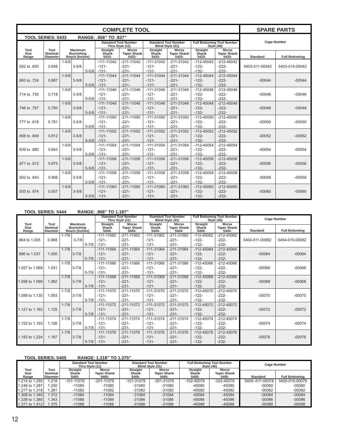|                          |                                           |           |                                                       |           |                                      | <b>COMPLETE TOOL</b>                        |                                                                                                                       |                                      |                                             |                                      |                       | <b>SPARE PARTS</b> |
|--------------------------|-------------------------------------------|-----------|-------------------------------------------------------|-----------|--------------------------------------|---------------------------------------------|-----------------------------------------------------------------------------------------------------------------------|--------------------------------------|---------------------------------------------|--------------------------------------|-----------------------|--------------------|
| <b>TOOL SERIES: 5433</b> |                                           |           |                                                       |           | RANGE: .656" TO .937"                |                                             |                                                                                                                       |                                      |                                             |                                      |                       |                    |
|                          |                                           |           |                                                       |           | Thru Style (11)                      | <b>Standard Tool Number</b>                 | Blind Style (31)                                                                                                      | <b>Standard Tool Number</b>          | <b>Style (45)</b>                           | <b>Full Bottoming Tool Number</b>    |                       | <b>Cage Number</b> |
| Tool<br>Size<br>Range    | Tool<br><b>Nominal</b><br><b>Diameter</b> |           | <b>Maximum</b><br><b>Burnishing</b><br>Reach (Inches) |           | <b>Straight</b><br>Shank<br>5433-    | <b>Morse</b><br><b>Taper Shank</b><br>5433- | <b>Straight</b><br><b>Morse</b><br><b>Straight</b><br>Shank<br><b>Taper Shank</b><br>Shank<br>5433-<br>5433-<br>5433- |                                      | <b>Morse</b><br><b>Taper Shank</b><br>5433- | <b>Standard</b>                      | <b>Full Bottoming</b> |                    |
| .652 to .693             | 0.656                                     | $1 - 5/8$ | $3 - 5/8$                                             | $5 - 5/8$ | $-111-11042$<br>$-121-$<br>$-131-$   | $-211 - 11042$<br>$-221-$<br>$-231-$        | $-111-31042$<br>$-121-$<br>$-131-$                                                                                    | $-211 - 31042$<br>$-221-$<br>$-231-$ | $-112 - 45042$<br>$-122-$<br>$-132-$        | $-212 - 45042$<br>$-222-$<br>$-232-$ | 5403-011-00042        | 5403-015-00042     |
| .683 to .724             | 0.687                                     | $1 - 5/8$ | $3 - 5/8$                                             | $5 - 5/8$ | $-111-11044$<br>$-121-$<br>$-131-$   | $-211 - 11044$<br>$-221-$<br>$-231-$        | $-111 - 31044$<br>$-121-$<br>$-131-$                                                                                  | $-211 - 31044$<br>$-221-$<br>$-231-$ | $-112 - 45044$<br>$-122-$<br>$-132-$        | $-212 - 45044$<br>$-222-$<br>$-232-$ | $-00044$              | $-00044$           |
| .714 to .755             | 0.718                                     | $1 - 5/8$ | $3 - 5/8$                                             | $5 - 5/8$ | $-111 - 11046$<br>$-121-$<br>$-131-$ | $-211 - 11046$<br>$-221-$<br>$-231-$        | $-111 - 31046$<br>$-121-$<br>$-131-$                                                                                  | $-211-31046$<br>$-221-$<br>$-231-$   | $-112 - 45046$<br>$-122-$<br>$-132-$        | $-212 - 45046$<br>$-222-$<br>$-232-$ | $-00046$              | $-00046$           |
| .746 to .787             | 0.750                                     | $1 - 5/8$ | $3 - 5/8$                                             | $5 - 5/8$ | $-111-11048$<br>$-121-$<br>$-131-$   | $-211 - 11048$<br>$-221-$<br>$-231-$        | $-111 - 31048$<br>$-121-$<br>$-131-$                                                                                  | $-211 - 31048$<br>$-221-$<br>$-231-$ | $-112 - 45048$<br>$-122-$<br>$-132-$        | $-212 - 45048$<br>$-222-$<br>$-232-$ | $-00048$              | $-00048$           |
| .777 to .818             | 0.781                                     | $1 - 5/8$ | $3 - 5/8$                                             | $5 - 5/8$ | $-111 - 11050$<br>$-121-$<br>$-131-$ | $-211 - 11050$<br>$-221-$<br>$-231-$        | $-111 - 31050$<br>$-121-$<br>$-131-$                                                                                  | $-211 - 31050$<br>$-221-$<br>$-231-$ | $-112 - 45050$<br>$-122-$<br>$-132-$        | $-212 - 45050$<br>$-222-$<br>$-232-$ | $-00050$              | $-00050$           |
| .808 to .849             | 0.812                                     | $1 - 5/8$ | $3 - 5/8$                                             | $5 - 5/8$ | $-111-11052$<br>$-121-$<br>$-131-$   | $-211 - 11052$<br>$-221-$<br>$-231-$        | $-111 - 31052$<br>$-121-$<br>$-131-$                                                                                  | $-211-31052$<br>$-221-$<br>$-231-$   | $-112 - 45052$<br>$-122-$<br>$-132-$        | $-212 - 45052$<br>$-222-$<br>$-232-$ | $-00052$              | $-00052$           |
| .839 to .880             | 0.843                                     | $1 - 5/8$ | $3 - 5/8$                                             | $5 - 5/8$ | $-111 - 11054$<br>$-121-$<br>$-131-$ | $-211 - 11054$<br>$-221-$<br>$-231-$        | $-111 - 31054$<br>$-121-$<br>$-131-$                                                                                  | $-211-31054$<br>$-221-$<br>$-231-$   | $-112 - 45054$<br>$-122-$<br>$-132-$        | $-212 - 45054$<br>$-222-$<br>$-232-$ | $-00054$              | $-00054$           |
| .871 to .912             | 0.875                                     | $1 - 5/8$ | $3 - 5/8$                                             | $5 - 5/8$ | $-111 - 11056$<br>$-121-$<br>$-131-$ | $-211 - 11056$<br>$-221-$<br>$-231-$        | $-111 - 31056$<br>$-121-$<br>$-131-$                                                                                  | $-211 - 31056$<br>$-221-$<br>$-231-$ | $-112 - 45056$<br>$-122-$<br>$-132-$        | $-212 - 45056$<br>$-222-$<br>$-232-$ | $-00056$              | $-00056$           |
| .902 to .943             | 0.906                                     | $1 - 5/8$ | $3 - 5/8$                                             | $5 - 5/8$ | $-111 - 11058$<br>$-121-$<br>$-131-$ | $-211 - 11058$<br>$-221-$<br>$-231-$        | $-111 - 31058$<br>$-121-$<br>$-131-$                                                                                  | $-211 - 31058$<br>$-221-$<br>$-231-$ | $-112 - 45058$<br>$-122-$<br>$-132-$        | $-212 - 45058$<br>$-222-$<br>$-232-$ | $-00058$              | $-00058$           |
| .933 to .974             | 0.937                                     | $1 - 5/8$ | $3 - 5/8$                                             | $5 - 5/8$ | $-111 - 11060$<br>$-121-$<br>$-131-$ | $-211 - 11060$<br>$-221-$<br>$-231-$        | $-111 - 31060$<br>$-121-$<br>$-131-$                                                                                  | $-211 - 31060$<br>$-221-$<br>$-231-$ | $-112 - 45060$<br>$-122-$<br>$-132-$        | $-212 - 45060$<br>$-222-$<br>$-232-$ | $-00060$              | $-00060$           |

#### **TOOL SERIES: 5444 RANGE: .968" TO 1.187"**

|                       |                                    |           |                                                       |           |                            | <b>Standard Tool Number</b><br>Thru Style (11) |                            | <b>Standard Tool Number</b><br>Blind Style (31) |                            | <b>Full Bottoming Tool Number</b><br>Style (45) | <b>Cage Number</b> |                       |
|-----------------------|------------------------------------|-----------|-------------------------------------------------------|-----------|----------------------------|------------------------------------------------|----------------------------|-------------------------------------------------|----------------------------|-------------------------------------------------|--------------------|-----------------------|
| Tool<br>Size<br>Range | Tool<br>Nominal<br><b>Diameter</b> |           | <b>Maximum</b><br><b>Burnishing</b><br>Reach (Inches) |           | Straight<br>Shank<br>5444- | <b>Morse</b><br><b>Taper Shank</b><br>5444-    | Straight<br>Shank<br>5444- | <b>Morse</b><br><b>Taper Shank</b><br>5444-     | Straight<br>Shank<br>5444- | <b>Morse</b><br><b>Taper Shank</b><br>5444-     | <b>Standard</b>    | <b>Full Bottoming</b> |
|                       |                                    | $1 - 7/8$ |                                                       |           | $-111 - 11062$             | $-211 - 11062$                                 | $-111-31062$               | $-211 - 31062$                                  | $-112 - 45062$             | $-212 - 45062$                                  |                    |                       |
| .964 to 1.005         | 0.968                              |           | $3 - 7/8$                                             |           | $-121-$                    | $-221-$                                        | $-121-$                    | $-221-$                                         | $-122-$                    | $-222-$                                         | 5404-011-00062     | 5404-015-00062        |
|                       |                                    |           |                                                       | $5 - 7/8$ | $-131-$                    | $-231-$                                        | $-131-$                    | $-231-$                                         | $-132-$                    | $-232-$                                         |                    |                       |
|                       |                                    | $1 - 7/8$ |                                                       |           | $-111 - 11064$             | $-211 - 11064$                                 | $-111 - 31064$             | $-211 - 31064$                                  | $-112 - 45064$             | $-212 - 45064$                                  |                    |                       |
| .996 to 1.037         | 1.000                              |           | $3 - 7/8$                                             |           | $-121-$                    | $-221-$                                        | $-121-$                    | $-221-$                                         | $-122-$                    | $-222-$                                         | $-00064$           | $-00064$              |
|                       |                                    |           |                                                       | $5 - 7/8$ | $-131-$                    | $-231-$                                        | $-131-$                    | $-231-$                                         | $-132-$                    | $-232-$                                         |                    |                       |
|                       |                                    | $1 - 7/8$ |                                                       |           | $-111 - 11066$             | $-211 - 11066$                                 | $-111 - 31066$             | $-211 - 31066$                                  | $-112 - 45066$             | $-212 - 45066$                                  |                    |                       |
| 1.027 to 1.068        | 1.031                              |           | $3 - 7/8$                                             |           | $-121-$                    | $-221-$                                        | $-121-$                    | $-221-$                                         | $-122-$                    | $-222-$                                         | $-00066$           | $-00066$              |
|                       |                                    |           |                                                       | $5 - 7/8$ | $-131-$                    | $-231-$                                        | $-131-$                    | $-231-$                                         | $-132-$                    | $-232-$                                         |                    |                       |
|                       |                                    | $1 - 7/8$ |                                                       |           | $-111 - 11068$             | $-211 - 11068$                                 | $-111 - 31068$             | $-211 - 31068$                                  | $-112 - 45068$             | $-212 - 45068$                                  |                    |                       |
| 1.058 to 1.099        | 1.062                              |           | $3 - 7/8$                                             |           | $-121-$                    | $-221-$                                        | $-121-$                    | $-221-$                                         | $-122-$                    | $-222-$                                         | $-00068$           | $-00068$              |
|                       |                                    |           |                                                       | $5 - 7/8$ | $-131-$                    | $-231-$                                        | $-131-$                    | $-231-$                                         | $-132-$                    | $-232-$                                         |                    |                       |
|                       |                                    | $1 - 7/8$ |                                                       |           | $-111-11070$               | $-211 - 11070$                                 | $-111-31070$               | $-211 - 31070$                                  | $-112 - 45070$             | $-212 - 45070$                                  |                    |                       |
| 1.089 to 1.130        | 1.093                              |           | $3 - 7/8$                                             |           | $-121-$                    | $-221-$                                        | $-121-$                    | $-221-$                                         | $-122-$                    | $-222-$                                         | $-00070$           | $-00070$              |
|                       |                                    |           |                                                       | $5 - 7/8$ | $-131-$                    | $-231-$                                        | $-131-$                    | $-231-$                                         | $-132-$                    | $-232-$                                         |                    |                       |
|                       |                                    | $1 - 7/8$ |                                                       |           | $-111-11072$               | $-211 - 11072$                                 | $-111-31072$               | $-211 - 31072$                                  | $-112 - 45072$             | $-212 - 45072$                                  |                    |                       |
| 1.121 to 1.162        | 1.125                              |           | $3 - 7/8$                                             |           | $-121-$                    | $-221-$                                        | $-121-$                    | $-221-$                                         | $-122-$                    | $-222-$                                         | $-00072$           | $-00072$              |
|                       |                                    |           |                                                       | $5 - 7/8$ | $-131-$                    | $-231-$                                        | $-131-$                    | $-231-$                                         | $-132-$                    | $-232-$                                         |                    |                       |
|                       |                                    | $1 - 7/8$ |                                                       |           | $-111 - 11074$             | $-211 - 11074$                                 | $-111-31074$               | $-211 - 31074$                                  | $-112 - 45074$             | $-212 - 45074$                                  |                    |                       |
| 1.152 to 1.193        | 1.156                              |           | $3 - 7/8$                                             |           | $-121-$                    | $-221-$                                        | $-121-$                    | $-221-$                                         | $-122-$                    | $-222-$                                         | $-00074$           | $-00074$              |
|                       |                                    |           |                                                       | $5 - 7/8$ | $-131-$                    | $-231-$                                        | $-131-$                    | $-231-$                                         | $-132-$                    | $-232-$                                         |                    |                       |
|                       |                                    | $1 - 7/8$ |                                                       |           | $-111 - 11076$             | $-211 - 11076$                                 | $-111 - 31076$             | $-211 - 31076$                                  | $-112 - 45076$             | $-212 - 45076$                                  |                    |                       |
| 1.183 to 1.224        | 1.187                              |           | $3 - 7/8$                                             |           | $-121-$                    | $-221-$                                        | $-121-$                    | $-221-$                                         | $-122-$                    | $-222-$                                         | $-00076$           | $-00076$              |
|                       |                                    |           |                                                       | $5 - 7/8$ | $-131-$                    | $-231-$                                        | $-131-$                    | $-231-$                                         | $-132-$                    | $-232-$                                         |                    |                       |

#### **TOOL SERIES: 5405 RANGE: 1.218" TO 1.375"**

|                       |                                    |                                   | <b>Standard Tool Number</b><br>Thru Stvle (11) |                                   | <b>Standard Tool Number</b><br>Blind Style (31) |                                   | <b>Full Bottoming Tool Number</b><br><b>Style (45)</b> | <b>Cage Number</b> |                       |
|-----------------------|------------------------------------|-----------------------------------|------------------------------------------------|-----------------------------------|-------------------------------------------------|-----------------------------------|--------------------------------------------------------|--------------------|-----------------------|
| Tool<br>Size<br>Range | Tool<br>Nominal<br><b>Diameter</b> | Straight<br><b>Shank</b><br>5405- | <b>Morse</b><br><b>Taper Shank</b><br>5405-    | <b>Straight</b><br>Shank<br>5405- | Morse<br><b>Taper Shank</b><br>5405-            | <b>Straight</b><br>Shank<br>5405- | <b>Morse</b><br><b>Taper Shank</b><br>5405-            | <b>Standard</b>    | <b>Full Bottoming</b> |
| 1.214 to 1.255        | .218                               | $-101 - 11078$                    | $-201 - 11078$                                 | $-101 - 31078$                    | $-201 - 31078$                                  | $-102 - 45078$                    | $-202 - 45078$                                         | 5405--011-00078    | 5405-015-00078        |
| 1.246 to 1.287        | .250                               | $-11080$                          | $-11080$                                       | $-31080$                          | $-31080$                                        | $-45080$                          | $-45080$                                               | $-00080$           | $-00080$              |
| 1.277 to 1.318        | .281                               | -11082                            | $-11082$                                       | $-31082$                          | $-31082$                                        | $-45082$                          | $-45082$                                               | $-00082$           | $-00082$              |
| 1.308 to 1.349        | 1.312                              | $-11084$                          | $-11084$                                       | $-31084$                          | $-31084$                                        | $-45084$                          | $-45084$                                               | $-00084$           | $-00084$              |
| 1.339 to 1.380        | .343                               | $-11086$                          | $-11086$                                       | $-31086$                          | $-31086$                                        | $-45086$                          | $-45086$                                               | $-00086$           | $-00086$              |
| 1.371 to 1.412        | .375                               | $-11088$                          | $-11088$                                       | $-31088$                          | $-31088$                                        | $-45088$                          | $-45088$                                               | $-00088$           | $-00088$              |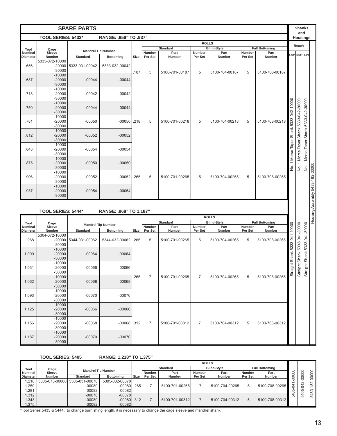|                 |                           | <b>SPARE PARTS</b> |                           |      |                |                         |                |                            |         |                               |                | <b>Shanks</b><br>and          |                          |                                 |
|-----------------|---------------------------|--------------------|---------------------------|------|----------------|-------------------------|----------------|----------------------------|---------|-------------------------------|----------------|-------------------------------|--------------------------|---------------------------------|
|                 | TOOL SERIES: 5433*        |                    | RANGE: .656" TO .937"     |      |                |                         |                |                            |         |                               |                |                               | <b>Housings</b>          |                                 |
|                 |                           |                    |                           |      |                |                         | <b>ROLLS</b>   |                            |         |                               |                | Reach                         |                          |                                 |
| Tool<br>Nominal | Cage<br>Sleeve            |                    | <b>Mandrel Tip Number</b> |      | Number         | <b>Standard</b><br>Part | Number         | <b>Blind-Style</b><br>Part | Number  | <b>Full Bottoming</b><br>Part |                |                               |                          |                                 |
| <b>Diameter</b> | Number                    | <b>Standard</b>    | <b>Bottoming</b>          | Size | Per Set        | Number                  | Per Set        | Number                     | Per Set | Number                        |                | $1 - 5/8" 3 - 5/8"$           | $5 - 5/8$                |                                 |
|                 | 5333-072-10000            |                    |                           |      |                |                         |                |                            |         |                               |                |                               |                          |                                 |
| .656            | $-20000$                  | 5333-031-00042     | 5333-032-00042            |      |                |                         |                |                            |         |                               |                |                               |                          |                                 |
|                 | $-30000$                  |                    |                           | .187 | 5              | 5100-701-00187          | 5              | 5100-704-00187             | 5       | 5100-708-00187                |                |                               |                          |                                 |
|                 | $-10000$                  |                    |                           |      |                |                         |                |                            |         |                               |                |                               |                          |                                 |
| .687            | $-20000$                  | $-00044$           | $-00044$                  |      |                |                         |                |                            |         |                               |                |                               |                          |                                 |
|                 | $-30000$                  |                    |                           |      |                |                         |                |                            |         |                               |                |                               |                          |                                 |
|                 | $-10000$<br>$-20000$      |                    |                           |      |                |                         |                |                            |         |                               |                |                               |                          |                                 |
| .718            | $-30000$                  | $-00042$           | $-00042$                  |      |                |                         |                |                            |         |                               |                |                               |                          |                                 |
|                 | $-10000$                  |                    |                           |      |                |                         |                |                            |         |                               |                |                               |                          |                                 |
| .750            | $-20000$                  | $-00044$           | $-00044$                  |      |                |                         |                |                            |         |                               |                |                               |                          |                                 |
|                 | $-30000$                  |                    |                           |      |                |                         |                |                            |         |                               |                |                               |                          |                                 |
|                 | $-10000$                  |                    |                           |      |                |                         |                |                            |         |                               | 5333-042-10000 | Shank 5333-042-20000          | Shank 5333-042-30000     |                                 |
| .781            | $-20000$                  | $-00050$           | $-00050$                  | .218 | 5              | 5100-701-00218          | 5              | 5100-704-00218             | 5       | 5100-708-00218                |                |                               |                          |                                 |
|                 | $-30000$                  |                    |                           |      |                |                         |                |                            |         |                               |                |                               |                          |                                 |
|                 | $-10000$                  |                    |                           |      |                |                         |                |                            |         |                               | Shank          |                               |                          |                                 |
| .812            | $-20000$                  | $-00052$           | $-00052$                  |      |                |                         |                |                            |         |                               |                |                               |                          |                                 |
|                 | $-30000$                  |                    |                           |      |                |                         |                |                            |         |                               |                |                               |                          |                                 |
| .843            | $-10000$<br>$-20000$      | $-00054$           |                           |      |                |                         |                |                            |         |                               | Taper          |                               |                          |                                 |
|                 | $-30000$                  |                    | $-00054$                  |      |                |                         |                |                            |         |                               |                |                               |                          |                                 |
|                 | $-10000$                  |                    |                           |      |                |                         |                |                            |         |                               | 1 Morse        | No. 1 Morse Taper             | No. 1 Morse Taper        |                                 |
| .875            | $-20000$                  | $-00050$           | $-00050$                  |      |                |                         |                |                            |         |                               |                |                               |                          |                                 |
|                 | $-30000$                  |                    |                           |      |                |                         |                |                            |         |                               | ğ.             |                               |                          |                                 |
|                 | $-10000$                  |                    |                           |      |                |                         |                |                            |         |                               |                |                               |                          |                                 |
| .906            | $-20000$                  | $-00052$           | $-00052$                  | .265 | 5              | 5100-701-00265          | 5              | 5100-704-00265             | 5       | 5100-708-00265                |                |                               |                          |                                 |
|                 | $-30000$                  |                    |                           |      |                |                         |                |                            |         |                               |                |                               |                          |                                 |
|                 | $-10000$                  |                    |                           |      |                |                         |                |                            |         |                               |                |                               |                          |                                 |
| .937            | $-20000$<br>$-30000$      | $-00054$           | $-00054$                  |      |                |                         |                |                            |         |                               |                |                               |                          |                                 |
|                 | <b>TOOL SERIES: 5444*</b> |                    | RANGE: .968" TO 1.187"    |      |                |                         |                | <b>ROLLS</b>               |         |                               |                |                               |                          | Housing Assembly 5433-182-00000 |
|                 |                           |                    |                           |      |                | <b>Standard</b>         |                | <b>Blind-Style</b>         |         | <b>Full Bottoming</b>         |                |                               |                          |                                 |
| Tool<br>Nominal | Cage<br>Sleeve            |                    | <b>Mandrel Tip Number</b> |      | Number         | Part                    | Number         | Part                       | Number  | Part                          | 5333-041-10000 | Straight Shank 5333-041-20000 | ght Shank 5333-041-30000 |                                 |
| <b>Diameter</b> | Number                    | <b>Standard</b>    | <b>Bottoming</b>          | Size | Per Set        | Number                  | Per Set        | Number                     | Per Set | Number                        |                |                               |                          |                                 |
|                 | 5304-072-10000            |                    |                           |      |                |                         |                |                            |         |                               |                |                               |                          |                                 |
| .968            | $-20000$                  | 5344-031-00062     | 5344-032-00062            | .265 | 5              | 5100-701-00265          | 5              | 5100-704-00265             | 5       | 5100-708-00265                |                |                               |                          |                                 |
|                 | $-30000$<br>$-10000$      |                    |                           |      |                |                         |                |                            |         |                               |                |                               |                          |                                 |
| 1.000           | $-20000$                  | $-00064$           | $-00064$                  |      |                |                         |                |                            |         |                               |                |                               |                          |                                 |
|                 | $-30000$                  |                    |                           |      |                |                         |                |                            |         |                               | Shank          |                               |                          |                                 |
|                 | $-10000$                  |                    |                           |      |                |                         |                |                            |         |                               |                |                               |                          |                                 |
| 1.031           | $-20000$                  | $-00066$           | $-00066$                  |      |                |                         |                |                            |         |                               | ght:           |                               |                          |                                 |
|                 | $-30000$                  |                    |                           |      |                |                         |                |                            |         |                               | Strai          |                               | Strai                    |                                 |
|                 | $-10000$                  |                    |                           | .265 | $\overline{7}$ | 5100-701-00265          | $\overline{7}$ | 5100-704-00265             | 5       | 5100-708-00265                |                |                               |                          |                                 |
| 1.062           | $-20000$<br>$-30000$      | $-00068$           | $-00068$                  |      |                |                         |                |                            |         |                               |                |                               |                          |                                 |
|                 | $-10000$                  |                    |                           |      |                |                         |                |                            |         |                               |                |                               |                          |                                 |
| 1.093           | $-20000$                  | $-00070$           | $-00070$                  |      |                |                         |                |                            |         |                               |                |                               |                          |                                 |
|                 | $-30000$                  |                    |                           |      |                |                         |                |                            |         |                               |                |                               |                          |                                 |
|                 | $-10000$                  |                    |                           |      |                |                         |                |                            |         |                               |                |                               |                          |                                 |
| 1.125           | $-20000$                  | $-00066$           | $-00066$                  |      |                |                         |                |                            |         |                               |                |                               |                          |                                 |
|                 | $-30000$                  |                    |                           |      |                |                         |                |                            |         |                               |                |                               |                          |                                 |
|                 | $-10000$                  |                    |                           |      |                | 5100-701-00312          |                |                            |         |                               |                |                               |                          |                                 |
| 1.156           | $-20000$<br>$-30000$      | $-00068$           | $-00068$ .312             |      | 7              |                         | $\overline{7}$ | 5100-704-00312             | 5       | 5100-708-00312                |                |                               |                          |                                 |
|                 | $-10000$                  |                    |                           |      |                |                         |                |                            |         |                               |                |                               |                          |                                 |
| 1.187           | $-20000$                  | $-00070$           | $-00070$                  |      |                |                         |                |                            |         |                               |                |                               |                          |                                 |
|                 | $-30000$                  |                    |                           |      |                |                         |                |                            |         |                               |                |                               |                          |                                 |
|                 |                           |                    |                           |      |                |                         |                |                            |         |                               |                |                               |                          |                                 |
|                 |                           |                    |                           |      |                |                         |                |                            |         |                               |                |                               |                          |                                 |
|                 | <b>TOOL SERIES: 5405</b>  |                    | RANGE: 1.218" TO 1.375"   |      |                |                         |                |                            |         |                               |                |                               |                          |                                 |
|                 |                           |                    |                           |      |                |                         | <b>ROLLS</b>   |                            |         |                               |                |                               |                          |                                 |

|                 |               |                               |                           | <b>ROLLS</b> |         |                 |         |                    |         |                       |        |          |          |
|-----------------|---------------|-------------------------------|---------------------------|--------------|---------|-----------------|---------|--------------------|---------|-----------------------|--------|----------|----------|
| Tool            | Cage          |                               | <b>Mandrel Tip Number</b> |              |         | <b>Standard</b> |         | <b>Blind-Style</b> |         | <b>Full Bottoming</b> | っ      |          |          |
| <b>Nominal</b>  | Sleeve        |                               |                           |              | Number  | Part            | Number  | Part               | Number  | Part                  | 0      | ○        |          |
| <b>Diameter</b> | <b>Number</b> | <b>Standard</b>               | <b>Bottoming</b>          | . Size       | Per Set | <b>Number</b>   | Per Set | <b>Number</b>      | Per Set | <b>Number</b>         | 0      |          |          |
| .218            |               | 5305-073-00000 5305-031-00078 | 5305-032-00078            |              |         |                 |         |                    |         |                       |        | $\alpha$ | $\alpha$ |
| .250            |               | $-00080$                      | $-00080$                  | .265         |         | 5100-701-00265  |         | 5100-704-00265     | 5       | 5100-708-00265        | 4<br>Ó |          | $\infty$ |
| .281            |               | $-00082$                      | $-00082$                  |              |         |                 |         |                    |         |                       |        | LO<br>c  | ო<br>ന   |
| .312            |               | $-00078$                      | $-00078$                  |              |         |                 |         |                    |         |                       |        | LÒ       | LÒ       |
| .343            |               | $-00080$                      | $-00080$ . 312            |              |         | 5100-701-00312  |         | 5100-704-00312     | 5       | 5100-708-00312        |        |          |          |
| .375            |               | $-00082$                      | $-00082$                  |              |         |                 |         |                    |         |                       |        |          |          |

\*Tool Series 5433 & 5444: to change burnishing length, it is necessary to change the cage sleeve and mandrel shank.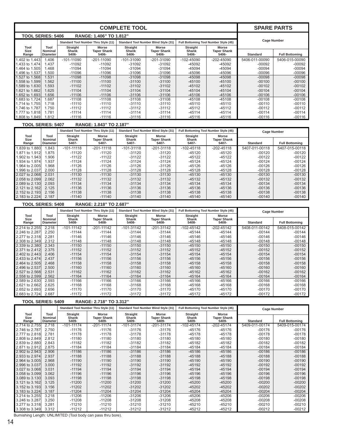|                                                    |                                    |                                   |                                             | <b>COMPLETE TOOL</b>              |                                              |                                       |                                             | <b>SPARE PARTS</b>                |                                         |
|----------------------------------------------------|------------------------------------|-----------------------------------|---------------------------------------------|-----------------------------------|----------------------------------------------|---------------------------------------|---------------------------------------------|-----------------------------------|-----------------------------------------|
| <b>TOOL SERIES: 5406</b>                           |                                    |                                   | RANGE: 1.406" TO 1.812"                     |                                   |                                              |                                       |                                             |                                   |                                         |
|                                                    |                                    |                                   | <b>Standard Tool Number Thru Style (11)</b> |                                   | Standard Tool Number Blind Style (31)        | Full Bottoming Tool Number Style (45) |                                             | <b>Cage Number</b>                |                                         |
| Tool<br>Size<br>Range                              | Tool<br>Nominal<br><b>Diameter</b> | <b>Straight</b><br>Shank<br>5406- | <b>Morse</b><br><b>Taper Shank</b><br>5406- | Straight<br>Shank<br>5406-        | <b>Morse</b><br><b>Taper Shank</b><br>5406-  | <b>Straight</b><br>Shank<br>5406-     | <b>Morse</b><br><b>Taper Shank</b><br>5406- | <b>Standard</b>                   | <b>Full Bottoming</b>                   |
| 1.402 to 1.443                                     | 1.406                              | $-101 - 11090$                    | $-201 - 11090$                              | $-101 - 31090$                    | -201-31090                                   | $-102 - 45090$                        | $-202 - 45090$                              | 5406-011-00090                    | 5406-015-00090                          |
| 1.433 to 1.474                                     | 1.437                              | $-11092$                          | $-11092$                                    | $-31092$                          | -31092                                       | -45092                                | -45092                                      | $-00092$                          | $-00092$                                |
| 1.464 to 1.505<br>.496 to 1.537                    | 1.468<br>1.500                     | $-11094$<br>$-11096$              | $-11094$<br>$-11096$                        | -31094<br>$-31096$                | $-31094$<br>-31096                           | -45094<br>-45096                      | -45094<br>-45096                            | $-00094$<br>$-00096$              | $-00094$<br>$-00096$                    |
| 1.527 to 1.568                                     | 1.531                              | $-11098$                          | $-11098$                                    | $-31098$                          | $-31098$                                     | -45098                                | -45098                                      | $-00098$                          | $-00098$                                |
| 1.558 to 1.599                                     | 1.562                              | $-11100$                          | $-11100$                                    | $-31100$                          | $-31100$                                     | $-45100$                              | $-45100$                                    | $-00100$                          | $-00100$                                |
| 1.589 to 1.630                                     | 1.593                              | $-11102$                          | $-11102$                                    | $-31102$                          | $-31102$                                     | $-45102$                              | $-45102$                                    | $-00102$                          | $-00102$                                |
| 1.621 to 1.662<br>1.652 to 1.693                   | 1.625<br>1.656                     | $-11104$<br>$-11106$              | $-11104$<br>$-11106$                        | $-31104$<br>$-31106$              | $-31104$<br>$-31106$                         | $-45104$<br>$-45106$                  | $-45104$<br>$-45106$                        | $-00104$<br>$-00106$              | $-00104$<br>$-00106$                    |
| 1.683 to 1.724                                     | 1.687                              | $-11108$                          | $-11108$                                    | $-31108$                          | $-31108$                                     | $-45108$                              | $-45108$                                    | $-00108$                          | $-00108$                                |
| 1.714 to 1.755                                     | 1.718                              | $-11110$                          | $-11110$                                    | $-31110$                          | $-31110$                                     | $-45110$                              | $-45110$                                    | $-00110$                          | $-00110$                                |
| 1.746 to 1.787                                     | 1.750                              | $-11112$                          | -11112                                      | $-31112$                          | -31112                                       | -45112                                | $-45112$                                    | $-00112$                          | -00112                                  |
| 1.777 to 1.818<br>1.808 to 1.849                   | 1.781<br>1.812                     | $-11114$<br>$-11116$              | $-11114$<br>-11116                          | $-31114$<br>$-31116$              | $-31114$<br>-31116                           | $-45114$<br>-45116                    | $-45114$<br>$-45116$                        | $-00114$<br>$-00116$              | $-00114$<br>-00116                      |
| <b>TOOL SERIES: 5407</b>                           |                                    |                                   | RANGE: 1.843" TO 2.187"                     |                                   |                                              |                                       |                                             |                                   |                                         |
|                                                    |                                    |                                   | Standard Tool Number Thru Style (11)        |                                   | <b>Standard Tool Number Blind Style (31)</b> | Full Bottoming Tool Number Style (45) |                                             | <b>Cage Number</b>                |                                         |
| Tool<br>Size                                       | Tool<br><b>Nominal</b>             | <b>Straight</b><br>Shank          | <b>Morse</b><br><b>Taper Shank</b>          | <b>Straight</b><br>Shank          | Morse<br><b>Taper Shank</b>                  | <b>Straight</b><br>Shank              | Morse<br><b>Taper Shank</b>                 |                                   |                                         |
| Range<br>1.839 to 1.880                            | <b>Diameter</b><br>1.843           | 5407-<br>$-101 - 11118$           | 5407-<br>$-201 - 11118$                     | 5407-<br>$-101 - 31118$           | 5407-<br>$-201 - 31118$                      | 5407-<br>$-102 - 45118$               | 5407-<br>-202-45118                         | <b>Standard</b><br>5407-011-00118 | <b>Full Bottoming</b><br>5407-015-00118 |
| 1.871 to 1.912                                     | 1.875                              | $-11120$                          | $-11120$                                    | $-31120$                          | -31120                                       | $-45120$                              | $-45120$                                    | $-00120$                          | $-00120$                                |
| 1.902 to 1.943                                     | 1.906                              | $-11122$                          | $-11122$                                    | $-31122$                          | -31122                                       | $-45122$                              | $-45122$                                    | $-00122$                          | $-00122$                                |
| 1.934 to 1.974                                     | 1.937                              | $-11124$                          | $-11124$                                    | $-31124$                          | -31124                                       | $-45124$                              | $-45124$                                    | $-00124$                          | -00124                                  |
| 1.964 to 2.005<br>1.996 to 2.037                   | 1.968<br>2.000                     | $-11126$<br>$-11128$              | $-11126$<br>$-11128$                        | $-31126$<br>$-31128$              | -31126<br>-31128                             | $-45126$<br>$-45128$                  | $-45126$<br>$-45128$                        | $-00126$<br>$-00128$              | $-00126$<br>$-00128$                    |
| 2.027 to 2.068                                     | 2.031                              | $-11130$                          | $-11130$                                    | $-31130$                          | $-31130$                                     | $-45130$                              | $-45130$                                    | $-00130$                          | $-00130$                                |
| 2.058 to 2.099                                     | 2.062                              | $-11132$                          | $-11132$                                    | $-31132$                          | $-31132$                                     | $-45132$                              | $-45132$                                    | $-00132$                          | $-00132$                                |
| 2.089 to 2.130                                     | 2.093                              | $-11134$                          | $-11134$                                    | $-31134$                          | $-31134$                                     | $-45134$                              | $-45134$                                    | $-00134$                          | $-00134$                                |
| 2.121 to 2.162                                     | 2.125                              | $-11136$                          | $-11136$                                    | $-31136$                          | $-31136$                                     | -45136                                | $-45136$                                    | $-00136$                          | $-00136$                                |
| 2.152 to 2.193<br>2.183 to 2.224                   | 2.156<br>2.187                     | $-11138$<br>$-11140$              | $-11138$<br>$-11140$                        | $-31138$<br>$-31140$              | $-31138$<br>$-31140$                         | -45138<br>$-45140$                    | $-45138$<br>$-45140$                        | $-00138$<br>$-00140$              | $-00138$<br>$-00140$                    |
| <b>TOOL SERIES: 5408</b>                           |                                    |                                   | <b>RANGE: 2.218" TO 2.687"</b>              |                                   |                                              |                                       |                                             |                                   |                                         |
|                                                    |                                    |                                   | Standard Tool Number Thru Style (11)        |                                   | Standard Tool Number Blind Style (31)        | Full Bottoming Tool Number Style (45) |                                             |                                   |                                         |
| Tool                                               | Tool                               | <b>Straight</b>                   | Morse                                       | <b>Straight</b>                   | <b>Morse</b>                                 | <b>Straight</b>                       | Morse                                       | <b>Cage Number</b>                |                                         |
| Size<br>Range                                      | <b>Nominal</b><br><b>Diameter</b>  | Shank<br>5408-                    | <b>Taper Shank</b><br>5408-                 | Shank<br>5408-                    | <b>Taper Shank</b><br>5408-                  | Shank<br>5408-                        | <b>Taper Shank</b><br>5408-                 | <b>Standard</b>                   | <b>Full Bottoming</b>                   |
| 2.214 to 2.255                                     | 2.218                              | $-101 - 11142$                    | $-201 - 11142$                              | $-101-31142$                      | -201-31142                                   | $-102 - 45142$                        | $-202 - 45142$                              | 5408-011-00142                    | 5408-015-00142                          |
| 2.246 to 2.287<br>2.277 to 2.318                   | 2.250<br>2.281                     | $-11144$<br>$-11146$              | $-11144$<br>$-11146$                        | $-31144$<br>$-31146$              | -31144<br>-31146                             | $-45144$<br>$-45146$                  | $-45144$<br>$-45146$                        | $-00144$<br>$-00146$              | $-00144$<br>$-00146$                    |
| 2.308 to 2.349                                     | 2.312                              | $-11148$                          | $-11148$                                    | $-31148$                          | -31148                                       | $-45148$                              | $-45148$                                    | $-00148$                          | $-00148$                                |
| 2.339 to 2.380                                     | 2.343                              | $-11150$                          | $-11150$                                    | $-31150$                          | $-31150$                                     | -45150                                | $-45150$                                    | $-00150$                          | $-00150$                                |
| 2.371 to 2.412                                     | 2.375                              | $-11152$                          | $-11152$                                    | $-31152$                          | $-31152$                                     | $-45152$                              | $-45152$                                    | $-00152$                          | $-00152$                                |
| 2.402 to 2.443<br>2.433 to 2.474                   | 2.406<br>2.437                     | $-11154$<br>$-11156$              | $-11154$<br>$-11156$                        | $-31154$<br>$-31156$              | $-31154$<br>$-31156$                         | $-45154$<br>$-45156$                  | $-45154$<br>$-45156$                        | $-00154$<br>$-00156$              | $-00154$<br>$-00156$                    |
| 2.464 to 2.505                                     | 2.468                              | $-11158$                          | $-11158$                                    | $-31158$                          | $-31158$                                     | $-45158$                              | $-45158$                                    | $-00158$                          | $-00158$                                |
| 2.496 to 2.537                                     | 2.500                              | $-11160$                          | -11160                                      | $-31160$                          | $-31160$                                     | $-45160$                              | $-45160$                                    | $-00160$                          | $-00160$                                |
| 2.527 to 2.568                                     | 2.531                              | $-11162$                          | $-11162$                                    | $-31162$                          | $-31162$                                     | $-45162$                              | $-45162$                                    | $-00162$                          | $-00162$                                |
| 2.558 to 2.599                                     | 2.562                              | $-11164$                          | $-11164$                                    | $-31164$                          | $-31164$                                     | $-45164$                              | $-45164$                                    | $-00164$                          | $-00164$                                |
| 2.589 to 2.630<br>2.621 to 2.662                   | 2.593<br>2.625                     | $-11166$<br>$-11168$              | $-11166$<br>$-11168$                        | $-31166$<br>$-31168$              | $-31166$<br>$-31168$                         | $-45166$<br>-45168                    | $-45166$<br>$-45168$                        | $-00166$<br>$-00168$              | $-00166$<br>$-00168$                    |
| 2.652 to 2.693                                     | 2.656                              | $-11170$                          | $-11170$                                    | $-31170$                          | $-31170$                                     | $-45170$                              | $-45170$                                    | $-00170$                          | $-00170$                                |
| 2.683 to 2.724                                     | 2.687                              | $-11172$                          | $-11172$                                    | $-31172$                          | -31172                                       | $-45172$                              | $-45172$                                    | $-00172$                          | -00172                                  |
| <b>TOOL SERIES: 5409</b>                           |                                    |                                   | RANGE: 2.718" TO 3.312"                     |                                   |                                              |                                       |                                             |                                   |                                         |
|                                                    |                                    |                                   | Standard Tool Number Thru Style (11)        |                                   | Standard Tool Number Blind Style (31)        | Full Bottoming Tool Number Style (45) |                                             | <b>Cage Number</b>                |                                         |
| Tool<br>Size                                       | Tool<br>Nominal                    | <b>Straight</b><br>Shank          | Morse<br><b>Taper Shank</b><br>5409-        | <b>Straight</b><br>Shank<br>5409- | Morse<br><b>Taper Shank</b><br>5409-         | <b>Straight</b><br>Shank<br>5409-     | Morse<br>Taper Shank<br>5409-               |                                   |                                         |
| Range<br>2.714 to 2.755                            | <b>Diameter</b><br>2.718           | 5409-<br>$-101 - 11174$           | -201-11174                                  | $-101 - 31174$                    | $-201 - 31174$                               | $-102 - 45174$                        | $-202 - 45174$                              | <b>Standard</b><br>5409-011-00174 | <b>Full Bottoming</b><br>5409-015-00174 |
| 2.746 to 2.787                                     | 2.750                              | $-11176$                          | $-11176$                                    | $-31176$                          | $-31176$                                     | -45176                                | $-45176$                                    | $-00176$                          | $-00176$                                |
| 2.777 to 2.818                                     | 2.781                              | $-11178$                          | $-11178$                                    | $-31178$                          | $-31178$                                     | $-45178$                              | $-45178$                                    | $-00178$                          | $-00178$                                |
| 2.808 to 2.849<br>2.839 to 2.880                   | 2.812<br>2.843                     | $-11180$<br>$-11182$              | $-11180$<br>$-11182$                        | $-31180$<br>$-31182$              | $-31180$<br>$-31182$                         | $-45180$<br>-45182                    | $-45180$<br>$-45182$                        | $-00180$<br>$-00182$              | $-00180$<br>$-00182$                    |
| 2.871 to 2.912                                     | 2.875                              | $-11184$                          | $-11184$                                    | $-31184$                          | $-31184$                                     | $-45184$                              | $-45184$                                    | $-00184$                          | $-00184$                                |
| 2.902 to 2.943                                     | 2.906                              | $-11186$                          | $-11186$                                    | $-31186$                          | $-31186$                                     | $-45186$                              | $-45186$                                    | $-00186$                          | $-00186$                                |
| 2.933 to 2.974                                     | 2.937                              | $-11188$                          | $-11188$                                    | $-31188$                          | $-31188$                                     | $-45188$                              | $-45188$                                    | $-00188$                          | $-00188$                                |
| 2.964 to 3.005                                     | 2.968                              | $-11190$                          | $-11190$                                    | $-31190$                          | $-31190$                                     | $-45190$                              | $-45190$                                    | $-00190$                          | $-00190$<br>$-00192$                    |
| 2.996 to 3.037<br>3.027 to 3.068                   | 3.000<br>3.031                     | $-11192$<br>$-11194$              | $-11192$<br>$-11194$                        | $-31192$<br>$-31194$              | $-31192$<br>$-31194$                         | $-45192$<br>$-45194$                  | $-45192$<br>$-45194$                        | $-00192$<br>$-00194$              | $-00194$                                |
| 3.058 to 3.099                                     | 3.062                              | $-11196$                          | $-11196$                                    | $-31196$                          | $-31196$                                     | $-45196$                              | $-45196$                                    | $-00196$                          | $-00196$                                |
| 3.089 to 3.130                                     | 3.093                              | $-11198$                          | $-11198$                                    | $-31198$                          | $-31198$                                     | $-45198$                              | $-45198$                                    | $-00198$                          | $-00198$                                |
| 3.121 to 3.162                                     | 3.125                              | $-11200$                          | $-11200$                                    | $-31200$                          | $-31200$                                     | $-45200$                              | $-45200$                                    | $-00200$                          | $-00200$                                |
| 3.152 to 3.193                                     | 3.156<br>3.187                     | $-11202$                          | $-11202$                                    | $-31202$                          | $-31202$                                     | $-45202$<br>$-45204$                  | $-45202$                                    | $-00202$                          | $-00202$<br>$-00204$                    |
|                                                    |                                    | $-11204$                          | $-11204$                                    | $-31204$                          | $-31204$                                     |                                       | $-45204$                                    | $-00204$                          |                                         |
|                                                    |                                    |                                   |                                             |                                   |                                              |                                       |                                             |                                   |                                         |
| 3.183 to 3.224<br>3.214 to 3.255<br>3.246 to 3.287 | 3.218<br>3.250                     | $-11206$<br>$-11208$              | $-11206$<br>$-11208$                        | $-31206$<br>$-31208$              | $-31206$<br>$-31208$                         | -45206<br>-45208                      | $-45206$<br>$-45208$                        | $-00206$<br>$-00208$              | $-00206$<br>$-00208$                    |
| 3.277 to 3.318<br>3.308 to 3.349                   | 3.281<br>3.312                     | $-11210$<br>$-11212$              | $-11210$<br>$-11212$                        | $-31210$<br>-31212                | $-31210$<br>$-31212$                         | $-45210$<br>-45212                    | $-45210$<br>$-45212$                        | $-00210$<br>$-00212$              | $-00210$<br>-00212                      |

Burnishing Length: UNLIMITED (Tool body can pass thru bore).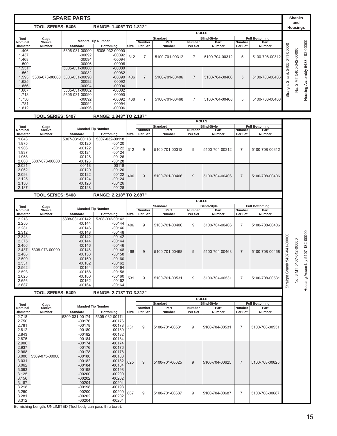|                                   |                          | <b>SPARE PARTS</b> |                           |      |                   |                       |                   |                       |                   |                       |          | <b>Shanks</b><br>and |           |
|-----------------------------------|--------------------------|--------------------|---------------------------|------|-------------------|-----------------------|-------------------|-----------------------|-------------------|-----------------------|----------|----------------------|-----------|
|                                   | <b>TOOL SERIES: 5406</b> |                    | RANGE: 1.406" TO 1.812"   |      |                   |                       |                   |                       |                   |                       |          | Housings             |           |
|                                   |                          |                    |                           |      |                   |                       | <b>ROLLS</b>      |                       |                   |                       |          |                      |           |
| Tool                              | Cage                     |                    | <b>Mandrel Tip Number</b> |      |                   | <b>Standard</b>       |                   | <b>Blind-Style</b>    |                   | <b>Full Bottoming</b> |          |                      |           |
| <b>Nominal</b><br><b>Diameter</b> | Sleeve<br><b>Number</b>  | <b>Standard</b>    | <b>Bottoming</b>          | Size | Number<br>Per Set | Part<br><b>Number</b> | Number<br>Per Set | Part<br><b>Number</b> | Number<br>Per Set | Part<br>Number        |          |                      | 182-00000 |
| 1.406                             |                          | 5306-031-00090     | 5306-032-00090            |      |                   |                       |                   |                       |                   |                       | $-00000$ |                      |           |
| 1.437                             |                          | $-00092$           | $-00092$                  | 312  |                   | 5100-701-00312        | $\overline{7}$    | 5100-704-00312        | 5                 | 5100-708-00312        |          | 5405-042-00000       |           |
| 1.468                             |                          | $-00094$           | $-00094$                  |      |                   |                       |                   |                       |                   |                       | $-041$   |                      |           |
| 1.500                             |                          | $-00096$           | $-00096$                  |      |                   |                       |                   |                       |                   |                       |          |                      | 5433-     |
| 1.531                             |                          | 5305-031-00080     | $-00080$                  |      |                   |                       |                   |                       |                   |                       | 5405     |                      |           |
| 1.562                             |                          | $-00082$           | $-00082$                  |      |                   |                       |                   |                       |                   |                       |          |                      | Assembly  |
| 1.593                             | 5306-073-00000           | 5306-031-00090     | $-00090$                  | .406 | $\overline{7}$    | 5100-701-00406        | $\overline{7}$    | 5100-704-00406        | 5                 | 5100-708-00406        | Shank    | ΣN                   |           |
| 1.625                             |                          | $-00092$           | $-00092$                  |      |                   |                       |                   |                       |                   |                       |          | $\sim$               |           |
| 1.656                             |                          | $-00094$           | $-00094$                  |      |                   |                       |                   |                       |                   |                       | Straight |                      |           |
| 1.687                             |                          | 5305-031-00082     | $-00082$                  |      |                   |                       |                   |                       |                   |                       |          | ġ                    | Housing   |
| 1.718                             |                          | 5306-031-00090     | $-00090$                  |      |                   |                       |                   |                       |                   |                       |          |                      |           |
| 1.750                             |                          | $-00092$           | $-00092$                  | .468 | $\overline{7}$    | 5100-701-00468        | $\overline{7}$    | 5100-704-00468        | 5                 | 5100-708-00468        |          |                      |           |
| 1.781                             |                          | $-00094$           | $-00094$                  |      |                   |                       |                   |                       |                   |                       |          |                      |           |
| 1.812                             |                          | $-00096$           | $-00096$                  |      |                   |                       |                   |                       |                   |                       |          |                      |           |

 **TOOL SERIES: 5407 RANGE: 1.843" TO 2.187"**

|                                                     |                |                           | <b>ROLLS</b>     |      |         |                 |         |                    |                |                       |
|-----------------------------------------------------|----------------|---------------------------|------------------|------|---------|-----------------|---------|--------------------|----------------|-----------------------|
| Tool                                                | Cage           | <b>Mandrel Tip Number</b> |                  |      |         | <b>Standard</b> |         | <b>Blind-Style</b> |                | <b>Full Bottoming</b> |
| Nominal                                             | Sleeve         |                           |                  |      | Number  | Part            | Number  | Part               | Number         | Part                  |
| <b>Diameter</b>                                     | <b>Number</b>  | <b>Standard</b>           | <b>Bottoming</b> | Size | Per Set | <b>Number</b>   | Per Set | <b>Number</b>      | Per Set        | <b>Number</b>         |
| .843                                                |                | 5307-031-00118            | 5307-032-00118   |      |         |                 |         |                    |                |                       |
| .875                                                |                | $-00120$                  | $-00120$         |      |         |                 |         |                    |                |                       |
| .906                                                |                | $-00122$                  | $-00122$         | 312  | 9       | 5100-701-00312  | 9       | 5100-704-00312     | $\overline{7}$ | 5100-708-00312        |
| .937                                                |                | $-00124$                  | $-00124$         |      |         |                 |         |                    |                |                       |
| .968                                                |                | $-00126$                  | $-00126$         |      |         |                 |         |                    |                |                       |
| 2.000                                               | 5307-073-00000 | $-00128$                  | $-00128$         |      |         |                 |         |                    |                |                       |
| 2.031                                               |                | $-00118$                  | $-00118$         |      |         |                 |         |                    |                |                       |
| 2.062                                               |                | $-00120$                  | $-00120$         |      |         |                 |         |                    |                |                       |
| 2.093                                               |                | $-00122$                  | $-00122$         | 406  | 9       | 5100-701-00406  | 9       | 5100-704-00406     | $\overline{7}$ | 5100-708-00406        |
| 2.125                                               |                | $-00124$                  | $-00124$         |      |         |                 |         |                    |                |                       |
| 2.156                                               |                | $-00126$                  | $-00126$         |      |         |                 |         |                    |                |                       |
| 2.187                                               |                | $-00128$                  | $-00128$         |      |         |                 |         |                    |                |                       |
| <b>TOOL SERIES: 5408</b><br>RANGE: 2.218" TO 2.687" |                |                           |                  |      |         |                 |         |                    |                |                       |

|                 |                |                           |                  |      |               |                 | <b>ROLLS</b>  |                    |                |                       |            |
|-----------------|----------------|---------------------------|------------------|------|---------------|-----------------|---------------|--------------------|----------------|-----------------------|------------|
| Tool            | Cage           |                           |                  |      |               | <b>Standard</b> |               | <b>Blind-Style</b> |                | <b>Full Bottoming</b> |            |
| <b>Nominal</b>  | Sleeve         | <b>Mandrel Tip Number</b> |                  |      | <b>Number</b> | Part            | <b>Number</b> | Part               | <b>Number</b>  | Part                  |            |
| <b>Diameter</b> | <b>Number</b>  | <b>Standard</b>           | <b>Bottoming</b> | Size | Per Set       | <b>Number</b>   | Per Set       | <b>Number</b>      | Per Set        | <b>Number</b>         |            |
| 2.218           |                | 5308-031-00142            | 5308-032-00142   |      |               |                 |               |                    |                |                       |            |
| 2.250           |                | $-00144$                  | $-00144$         | 406  | 9             | 5100-701-00406  | 9             | 5100-704-00406     | $\overline{7}$ | 5100-708-00406        |            |
| 2.281           |                | $-00146$                  | $-00146$         |      |               |                 |               |                    |                |                       |            |
| 2.312           |                | $-00148$                  | $-00148$         |      |               |                 |               |                    |                |                       |            |
| 2.343           |                | $-00142$                  | $-00142$         |      |               |                 |               |                    |                |                       | -00000     |
| 2.375           |                | $-00144$                  | $-00144$         |      |               |                 |               |                    |                |                       |            |
| 2.406           |                | $-00146$                  | $-00146$         |      |               |                 |               |                    |                |                       |            |
| 2.437           | 5308-073-00000 | $-00148$                  | $-00148$         | 468  | 9             | 5100-701-00468  | 9             | 5100-704-00468     | $\overline{7}$ | 5100-708-00468        | Ŕ          |
| 2.468           |                | $-00158$                  | $-00158$         |      |               |                 |               |                    |                |                       |            |
| 2.500           |                | $-00160$                  | $-00160$         |      |               |                 |               |                    |                |                       | 5407       |
| 2.531           |                | $-00162$                  | $-00162$         |      |               |                 |               |                    |                |                       |            |
| 2.562           |                | $-00164$                  | $-00164$         |      |               |                 |               |                    |                |                       | Shank      |
| 2.593           |                | $-00158$                  | $-00158$         |      |               |                 |               |                    |                |                       |            |
| 2.625           |                | $-00160$                  | $-00160$         | 531  | 9             | 5100-701-00531  | 9             | 5100-704-00531     | $\overline{7}$ | 5100-708-00531        | $\ddot{5}$ |
| 2.656           |                | $-00162$                  | $-00162$         |      |               |                 |               |                    |                |                       |            |
| 2.687           |                | $-00164$                  | $-00164$         |      |               |                 |               |                    |                |                       | Strai      |

 **TOOL SERIES: 5409 RANGE: 2.718" TO 3.312"**

|                 |                |                           |                  |      |         |                 |               | <b>ROLLS</b>       |                |                       |
|-----------------|----------------|---------------------------|------------------|------|---------|-----------------|---------------|--------------------|----------------|-----------------------|
| Tool            | Cage           |                           |                  |      |         | <b>Standard</b> |               | <b>Blind-Style</b> |                | <b>Full Bottoming</b> |
| Nominal         | Sleeve         | <b>Mandrel Tip Number</b> |                  |      | Number  | Part            | <b>Number</b> | Part               | <b>Number</b>  | Part                  |
| <b>Diameter</b> | <b>Number</b>  | <b>Standard</b>           | <b>Bottoming</b> | Size | Per Set | Number          | Per Set       | <b>Number</b>      | Per Set        | <b>Number</b>         |
| 2.718           |                | 5309-031-00174            | 5309-032-00174   |      |         |                 |               |                    |                |                       |
| 2.750           |                | $-00176$                  | $-00176$         |      |         |                 |               |                    |                |                       |
| 2.781           |                | $-00178$                  | $-00178$         | 531  | 9       | 5100-701-00531  | 9             | 5100-704-00531     | 7              | 5100-708-00531        |
| 2.812           |                | $-00180$                  | $-00180$         |      |         |                 |               |                    |                |                       |
| 2.843           |                | $-00182$                  | $-00182$         |      |         |                 |               |                    |                |                       |
| 2.875           |                | $-00184$                  | $-00184$         |      |         |                 |               |                    |                |                       |
| 2.906           |                | $-00174$                  | $-00174$         |      |         |                 |               |                    |                |                       |
| 2.937           |                | $-00176$                  | $-00176$         |      |         |                 |               |                    |                |                       |
| 2.968           |                | $-00178$                  | $-00178$         |      |         |                 |               |                    |                |                       |
| 3.000           | 5309-073-00000 | $-00180$                  | $-00180$         |      |         |                 |               |                    |                |                       |
| 3.031           |                | $-00182$                  | $-00182$         | 625  | 9       | 5100-701-00625  | 9             | 5100-704-00625     | $\overline{7}$ | 5100-708-00625        |
| 3.062           |                | $-00184$                  | $-00184$         |      |         |                 |               |                    |                |                       |
| 3.093           |                | $-00198$                  | $-00198$         |      |         |                 |               |                    |                |                       |
| 3.125           |                | $-00200$                  | $-00200$         |      |         |                 |               |                    |                |                       |
| 3.156           |                | $-00202$                  | $-00202$         |      |         |                 |               |                    |                |                       |
| 3.187           |                | $-00204$                  | $-00204$         |      |         |                 |               |                    |                |                       |
| 3.218           |                | $-00198$                  | $-00198$         |      |         |                 |               |                    |                |                       |
| 3.250           |                | $-00200$                  | $-00200$         | 687  | 9       | 5100-701-00687  | 9             | 5100-704-00687     | $\overline{7}$ | 5100-708-00687        |
| 3.281           |                | $-00202$                  | $-00202$         |      |         |                 |               |                    |                |                       |
| 3.312           |                | $-00204$                  | $-00204$         |      |         |                 |               |                    |                |                       |

Burnishing Length: UNLIMITED (Tool body can pass thru bore).

No. 3 MT 5407-042-00000 Housing Assembly 5407-182-00000

Housing Assembly 5407-182-00000 No. 3 MT 5407-042-00000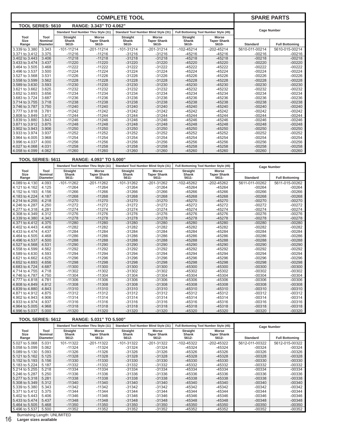|                          |                                                     |                            |                                             | <b>COMPLETE TOOL</b>              |                                              |                                   |                                             |                 | <b>SPARE PARTS</b>    |  |  |
|--------------------------|-----------------------------------------------------|----------------------------|---------------------------------------------|-----------------------------------|----------------------------------------------|-----------------------------------|---------------------------------------------|-----------------|-----------------------|--|--|
| <b>TOOL SERIES: 5610</b> |                                                     |                            | RANGE: 3.343" TO 4.062"                     |                                   |                                              |                                   |                                             |                 |                       |  |  |
|                          |                                                     |                            | <b>Standard Tool Number Thru Style (11)</b> |                                   | <b>Standard Tool Number Blind Style (31)</b> |                                   | Full Bottoming Tool Number Style (45)       |                 | <b>Cage Number</b>    |  |  |
| Tool<br>Size<br>Range    | Tool<br><b>Nominal</b><br><b>Diameter</b>           | Straight<br>Shank<br>5610- | <b>Morse</b><br><b>Taper Shank</b><br>5610- | <b>Straight</b><br>Shank<br>5610- | <b>Morse</b><br><b>Taper Shank</b><br>5610-  | <b>Straight</b><br>Shank<br>5610- | <b>Morse</b><br><b>Taper Shank</b><br>5610- | <b>Standard</b> | <b>Full Bottoming</b> |  |  |
| 3.339 to 3.380           | 3.343                                               | $-101 - 11214$             | $-201 - 11214$                              | $-101 - 31214$                    | $-201 - 31214$                               | $-102 - 45214$                    | $-202 - 45214$                              | 5610-011-00214  | 5610-015-00214        |  |  |
| 3.371 to 3.412           | 3.375                                               | $-11216$                   | $-11216$                                    | $-31216$                          | $-31216$                                     | $-45216$                          | $-45216$                                    | $-00216$        | $-00216$              |  |  |
| 3.402 to 3.443           | 3.406                                               | $-11218$                   | $-45218$                                    | $-00218$                          | $-00218$                                     |                                   |                                             |                 |                       |  |  |
| 3.433 to 3.474           | 3.437                                               | $-11220$                   | $-45220$                                    | $-00220$                          | $-00220$                                     |                                   |                                             |                 |                       |  |  |
| 3.464 to 3.505           | 3.468                                               | $-11222$                   | $-11222$                                    | $-31222$                          | $-31222$                                     | $-45222$                          | $-45222$                                    | $-00222$        | $-00222$              |  |  |
| 3.496 to 3.537           | 3.500                                               | $-11224$                   | $-11224$                                    | $-31224$                          | $-31224$                                     | $-45224$                          | $-45224$                                    | $-00224$        | $-00224$              |  |  |
| 3.527 to 3.568           | 3.531                                               | $-11226$                   | $-11226$                                    | $-31226$                          | $-31226$                                     | $-45226$                          | $-45226$                                    | $-00226$        | $-00226$              |  |  |
| 3.558 to 3.599           | 3.562                                               | $-11228$                   | $-11228$                                    | $-31228$                          | $-31228$                                     | $-45228$                          | $-45228$                                    | $-00228$        | $-00228$              |  |  |
| 3.589 to 3.630           | 3.593                                               | $-11230$                   | $-11230$                                    | $-31230$                          | $-31230$                                     | $-45230$                          | $-45230$                                    | $-00230$        | $-00230$              |  |  |
| 3.621 to 3.662           | 3.625                                               | $-11232$                   | $-11232$                                    | $-31232$                          | $-31232$                                     | $-45232$                          | $-45232$                                    | $-00232$        | $-00232$              |  |  |
| 3.652 to 3.693           | 3.656                                               | $-11234$                   | $-11234$                                    | $-31234$                          | $-31234$                                     | $-45234$                          | $-45234$                                    | $-00234$        | $-00234$              |  |  |
| 3.683 to 3.724           | 3.687                                               | $-11236$                   | $-11236$                                    | $-31236$                          | $-31236$                                     | $-45236$                          | $-45236$                                    | $-00236$        | $-00236$              |  |  |
| 3.714 to 3.755           | 3.718                                               | $-11238$                   | $-11238$                                    | $-31238$                          | $-31238$                                     | $-45238$                          | $-45238$                                    | $-00238$        | $-00238$              |  |  |
| 3.746 to 3.787           | 3.750                                               | $-11240$                   | $-11240$                                    | $-31240$                          | $-31240$                                     | $-45240$                          | $-45240$                                    | $-00240$        | $-00240$              |  |  |
| 3.777 to 3.818           | 3.781                                               | $-11242$                   | $-11242$                                    | $-31242$                          | $-31242$                                     | $-45242$                          | $-45242$                                    | $-00242$        | $-00242$              |  |  |
| 3.808 to 3.849           | 3.812                                               | $-11244$                   | $-11244$                                    | $-31244$                          | $-31244$                                     | $-45244$                          | $-45244$                                    | $-00244$        | $-00244$              |  |  |
| 3.839 to 3.880           | 3.843                                               | $-11246$                   | $-11246$                                    | $-31246$                          | $-31246$                                     | $-45246$                          | $-45246$                                    | $-00246$        | $-00246$              |  |  |
| 3.871 to 3.912           | 3.875                                               | $-11248$                   | $-11248$                                    | $-31248$                          | $-31248$                                     | $-45248$                          | $-45248$                                    | $-00248$        | $-00248$              |  |  |
| 3.902 to 3.943           | 3.906                                               | $-11250$                   | $-11250$                                    | $-31250$                          | $-31250$                                     | $-45250$                          | $-45250$                                    | $-00250$        | $-00250$              |  |  |
| 3.933 to 3.974           | 3.937                                               | $-11252$                   | $-11252$                                    | $-31252$                          | $-31252$                                     | $-45252$                          | $-45252$                                    | $-00252$        | $-00252$              |  |  |
| 3.964 to 4.005           | 3.968                                               | $-11254$                   | $-11254$                                    | $-31254$                          | $-31254$                                     | $-45254$                          | $-45254$                                    | $-00254$        | $-00254$              |  |  |
| 3.996 to 4.037           | 4.000                                               | $-11256$                   | $-11256$                                    | $-31256$                          | $-31256$                                     | $-45256$                          | $-45256$                                    | $-00256$        | $-00256$              |  |  |
| 4.027 to 4.068           | 4.031                                               | $-11258$                   | $-11258$                                    | $-31258$                          | $-31258$                                     | $-45258$                          | $-45258$                                    | $-00258$        | $-00258$              |  |  |
| 4.058 to 4.099           | 4.062                                               | $-11260$                   | $-11260$                                    | $-31260$                          | $-31260$                                     | $-45260$                          | $-45260$                                    | $-00260$        | $-00260$              |  |  |
|                          | <b>TOOL SERIES: 5611</b><br>RANGE: 4.093" TO 5.000" |                            |                                             |                                   |                                              |                                   |                                             |                 |                       |  |  |

|                       |                                    |                               | <b>Standard Tool Number Thru Style (11)</b>    |                                      | <b>Standard Tool Number Blind Style (31)</b>   | Full Bottoming Tool Number Style (45) |                                         | <b>Cage Number</b> |                       |
|-----------------------|------------------------------------|-------------------------------|------------------------------------------------|--------------------------------------|------------------------------------------------|---------------------------------------|-----------------------------------------|--------------------|-----------------------|
| Tool<br>Size<br>Range | Tool<br>Nominal<br><b>Diameter</b> | Straight<br>Shank<br>$5611 -$ | <b>Morse</b><br><b>Taper Shank</b><br>$5611 -$ | <b>Straight</b><br>Shank<br>$5611 -$ | <b>Morse</b><br><b>Taper Shank</b><br>$5611 -$ | <b>Straight</b><br>Shank<br>$5611 -$  | Morse<br><b>Taper Shank</b><br>$5611 -$ | <b>Standard</b>    | <b>Full Bottoming</b> |
| 4.089 to 4.130        | 4.093                              | $-101 - 11262$                | $-201 - 11262$                                 | $-101 - 31262$                       | $-201-31262$                                   | $-102 - 45262$                        | $-202 - 45262$                          | 5611-011-00262     | 5611-015-00262        |
| 4.121 to 4.162        | 4.125                              | $-11264$                      | $-11264$                                       | $-31264$                             | $-31264$                                       | $-45264$                              | $-45264$                                | $-00264$           | $-00264$              |
| 4.152 to 4.193        | 4.156                              | $-11266$                      | $-11266$                                       | $-31266$                             | $-31266$                                       | $-45266$                              | $-45266$                                | $-00266$           | $-00266$              |
| 4.183 to 4.224        | 4.187                              | $-11268$                      | $-11268$                                       | $-31268$                             | $-31268$                                       | $-45268$                              | $-45268$                                | $-00268$           | $-00268$              |
| 4.214 to 4.255        | 4.218                              | $-11270$                      | $-11270$                                       | $-31270$                             | $-31270$                                       | $-45270$                              | $-45270$                                | $-00270$           | $-00270$              |
| 4.246 to 4.287        | 4.250                              | $-11272$                      | $-11272$                                       | $-31272$                             | $-31272$                                       | $-45272$                              | $-45272$                                | $-00272$           | $-00272$              |
| 4.277 to 4.318        | 4.281                              | $-11274$                      | $-11274$                                       | $-31274$                             | $-31274$                                       | $-45274$                              | $-45274$                                | $-00274$           | $-00274$              |
| 4.308 to 4.349        | 4.312                              | $-11276$                      | $-11276$                                       | $-31276$                             | $-31276$                                       | $-45276$                              | $-45276$                                | $-00276$           | $-00276$              |
| 4.339 to 4.380        | 4.343                              | $-11278$                      | $-11278$                                       | $-31278$                             | $-31278$                                       | $-45278$                              | $-45278$                                | $-00278$           | $-00278$              |
| 4.371 to 4.412        | 4.375                              | $-11280$                      | $-11280$                                       | $-31280$                             | $-31280$                                       | $-45280$                              | $-45280$                                | $-00280$           | $-00280$              |
| 4.402 to 4.443        | 4.406                              | $-11282$                      | $-11282$                                       | $-31282$                             | $-31282$                                       | $-45282$                              | $-45282$                                | $-00282$           | $-00282$              |
| 4.433 to 4.474        | 4.437                              | $-11284$                      | $-11284$                                       | $-31284$                             | $-31284$                                       | $-45284$                              | $-45284$                                | $-00284$           | $-00284$              |
| 4.464 to 4.505        | 4.468                              | $-11286$                      | $-11286$                                       | $-31286$                             | $-31286$                                       | $-45286$                              | $-45286$                                | $-00286$           | $-00286$              |
| 4,496 to 4,537        | 4.500                              | $-11288$                      | $-11288$                                       | $-31288$                             | $-31288$                                       | $-45288$                              | $-45288$                                | $-00288$           | $-00288$              |
| 4.527 to 4.568        | 4.531                              | $-11290$                      | $-11290$                                       | $-31290$                             | $-31290$                                       | $-45290$                              | $-45290$                                | $-00290$           | $-00290$              |
| 4.558 to 4.599        | 4.562                              | $-11292$                      | $-11292$                                       | $-31292$                             | $-31292$                                       | $-45292$                              | $-45292$                                | $-00292$           | $-00292$              |
| 4.589 to 4.630        | 4.593                              | $-11294$                      | $-11294$                                       | $-31294$                             | $-31294$                                       | $-45294$                              | $-45294$                                | $-00294$           | $-00294$              |
| 4.621 to 4.662        | 4.625                              | $-11296$                      | $-11296$                                       | $-31296$                             | $-31296$                                       | $-45296$                              | $-45296$                                | $-00296$           | $-00296$              |
| 4.652 to 4.693        | 4.656                              | $-11298$                      | $-11298$                                       | $-31298$                             | $-31298$                                       | $-45298$                              | $-45298$                                | $-00298$           | $-00298$              |
| 4.683 to 4.724        | 4.687                              | $-11300$                      | $-11300$                                       | $-31300$                             | $-31300$                                       | $-45300$                              | $-45300$                                | $-00300$           | $-00300$              |
| 4.714 to 4.755        | 4.718                              | $-11302$                      | $-11302$                                       | $-31302$                             | $-31302$                                       | $-45302$                              | $-45302$                                | $-00302$           | $-00302$              |
| 4.746 to 4.787        | 4.750                              | $-11304$                      | $-11304$                                       | $-31304$                             | $-31304$                                       | $-45304$                              | $-45304$                                | $-00304$           | $-00304$              |
| 4.777 to 4.818        | 4.781                              | $-11306$                      | $-11306$                                       | $-31306$                             | $-31306$                                       | $-45306$                              | $-45306$                                | $-00306$           | $-00306$              |
| 4,808 to 4,849        | 4.812                              | $-11308$                      | $-11308$                                       | $-31308$                             | $-31308$                                       | $-45308$                              | $-45308$                                | $-00308$           | $-00308$              |
| 4.839 to 4.880        | 4.843                              | $-11310$                      | $-11310$                                       | $-31310$                             | $-31310$                                       | $-45310$                              | $-45310$                                | $-00310$           | $-00310$              |
| 4.871 to 4.912        | 4.875                              | $-11312$                      | $-11312$                                       | $-31312$                             | $-31312$                                       | $-45312$                              | $-45312$                                | $-00312$           | $-00312$              |
| 4.902 to 4.943        | 4.906                              | $-11314$                      | $-11314$                                       | $-31314$                             | $-31314$                                       | $-45314$                              | $-45314$                                | $-00314$           | $-00314$              |
| 4.933 to 4.974        | 4.937                              | $-11316$                      | $-11316$                                       | $-31316$                             | $-31316$                                       | $-45316$                              | $-45316$                                | $-00316$           | $-00316$              |
| 4.964 to 5.005        | 4.968                              | $-11318$                      | $-11318$                                       | $-31318$                             | $-31318$                                       | $-45318$                              | $-45318$                                | $-00318$           | $-00318$              |
| 4.996 to 5.037        | 5.000                              | $-11320$                      | $-11320$                                       | $-31320$                             | $-31320$                                       | $-45320$                              | $-45320$                                | $-00320$           | $-00320$              |

| <b>TOOL SERIES: 5612</b><br>RANGE: 5.031" TO 5.500" |                                   |                       |                                             |                       |                                              |                       |                                       |                 |                       |  |
|-----------------------------------------------------|-----------------------------------|-----------------------|---------------------------------------------|-----------------------|----------------------------------------------|-----------------------|---------------------------------------|-----------------|-----------------------|--|
|                                                     |                                   |                       | <b>Standard Tool Number Thru Style (11)</b> |                       | <b>Standard Tool Number Blind Style (31)</b> |                       | Full Bottoming Tool Number Style (45) |                 | <b>Cage Number</b>    |  |
| Tool                                                | Tool                              | <b>Straight</b>       | Morse                                       | <b>Straight</b>       | <b>Morse</b>                                 | <b>Straight</b>       | <b>Morse</b>                          |                 |                       |  |
| <b>Size</b><br>Range                                | <b>Nominal</b><br><b>Diameter</b> | <b>Shank</b><br>5612- | <b>Taper Shank</b><br>5612-                 | <b>Shank</b><br>5612- | <b>Taper Shank</b><br>5612-                  | <b>Shank</b><br>5612- | <b>Taper Shank</b><br>5612-           | <b>Standard</b> | <b>Full Bottoming</b> |  |
| 5.027 to 5.068                                      | 5.031                             | 101-11322             | $-201 - 11322$                              | $-101-31322$          | -201-31322                                   | $-102 - 45322$        | -202-45322                            | 5612-011-00322  | 5612-015-00322        |  |
| 5.058 to 5.099                                      | 5.062                             | $-11324$              | $-11324$                                    | $-31324$              | $-31324$                                     | -45324                | -45324                                | $-00324$        | $-00324$              |  |
| 5.089 to 5.130                                      | 5.093                             | $-11326$              | $-11326$                                    | $-31326$              | $-31326$                                     | $-45326$              | $-45326$                              | $-00326$        | $-00326$              |  |
| 5.121 to 5.162                                      | 5.125                             | $-11328$              | $-11328$                                    | $-31328$              | $-31328$                                     | $-45328$              | $-45328$                              | $-00328$        | $-00328$              |  |
| 5.152 to 5.193                                      | 5.156                             | $-11330$              | $-11330$                                    | $-31330$              | $-31330$                                     | $-45330$              | -45330                                | $-00330$        | $-00330$              |  |
| 5.183 to 5.224                                      | 5.187                             | $-11332$              | $-11332$                                    | $-31332$              | $-31332$                                     | $-45332$              | $-45332$                              | $-00332$        | $-00332$              |  |
| 5.214 to 5.255                                      | 5.218                             | $-11334$              | $-11334$                                    | $-31334$              | $-31334$                                     | $-45334$              | -45334                                | $-00334$        | $-00334$              |  |
| 5.246 to 5.287                                      | 5.250                             | $-11336$              | $-11336$                                    | $-31336$              | -31336                                       | -45336                | -45336                                | $-00336$        | $-00336$              |  |
| 5.277 to 5.318                                      | 5.281                             | $-11338$              | $-11338$                                    | $-31338$              | $-31338$                                     | $-45338$              | $-45338$                              | $-00338$        | $-00338$              |  |
| 5.308 to 5.349                                      | 5.312                             | $-11340$              | $-11340$                                    | $-31340$              | $-31340$                                     | $-45340$              | $-45340$                              | $-00340$        | $-00340$              |  |
| 5.339 to 5.380                                      | 5.343                             | $-11342$              | -11342                                      | $-31342$              | -31342                                       | -45342                | $-45342$                              | $-00342$        | $-00342$              |  |
| 5.371 to 5.412                                      | 5.375                             | -11344                | $-11344$                                    | $-31344$              | $-31344$                                     | -45344                | -45344                                | $-00344$        | $-00344$              |  |
| 5.402 to 5.443                                      | 5.406                             | $-11346$              | $-11346$                                    | $-31346$              | $-31346$                                     | $-45346$              | $-45346$                              | $-00346$        | $-00346$              |  |
| 5.433 to 5.474                                      | 5.437                             | $-11348$              | $-11348$                                    | $-31348$              | $-31348$                                     | -45348                | $-45348$                              | $-00348$        | $-00348$              |  |
| 5.464 to 5.505                                      | 5.468                             | $-11350$              | $-11350$                                    | $-31350$              | $-31350$                                     | -45350                | -45350                                | $-00350$        | $-00350$              |  |
| 5.496 to 5.537                                      | 5.500                             | $-11352$              | $-11352$                                    | $-31352$              | $-31352$                                     | $-45352$              | $-45352$                              | $-00352$        | $-00352$              |  |

Burnishing Length: UNLIMITED 16 **Larger sizes available**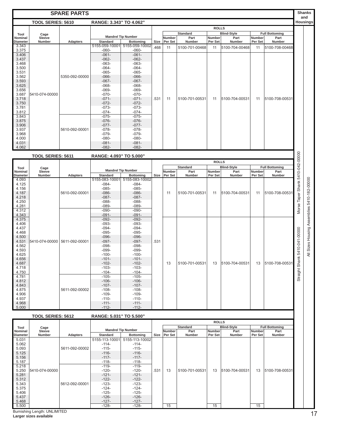| <b>SPARE PARTS</b>                                                  |                               |                 |                         |                                               |      |                   | <b>Shanks</b><br>and    |                   |                            |                   |                               |                                  |                                         |
|---------------------------------------------------------------------|-------------------------------|-----------------|-------------------------|-----------------------------------------------|------|-------------------|-------------------------|-------------------|----------------------------|-------------------|-------------------------------|----------------------------------|-----------------------------------------|
| <b>TOOL SERIES: 5610</b><br>RANGE: 3.343" TO 4.062"                 |                               |                 |                         |                                               |      |                   |                         | <b>Housings</b>   |                            |                   |                               |                                  |                                         |
|                                                                     | <b>ROLLS</b>                  |                 |                         |                                               |      |                   |                         |                   |                            |                   |                               |                                  |                                         |
| Tool<br>Nominal                                                     | Cage<br>Sleeve                |                 |                         | <b>Mandrel Tip Number</b>                     |      | Number            | <b>Standard</b><br>Part | Number            | <b>Blind-Style</b><br>Part | Number            | <b>Full Bottoming</b><br>Part |                                  |                                         |
| <b>Diameter</b>                                                     | <b>Number</b>                 | <b>Adapters</b> | <b>Standard</b>         | <b>Bottoming</b>                              | Size | Per Set           | Number                  | Per Set           | Number                     | Per Set           | Number                        |                                  |                                         |
| 3.343                                                               |                               |                 | 5155-059-10001          | 5155-059-10002                                | 468  | 11                | 5100-701-00468          | 11                | 5100-704-00468             | 11                | 5100-708-00468                |                                  |                                         |
| 3.375<br>3.406                                                      |                               |                 | $-060-$<br>$-061-$      | $-060-$<br>$-061-$                            |      |                   |                         |                   |                            |                   |                               |                                  |                                         |
| 3.437                                                               |                               |                 | $-062-$                 | $-062-$                                       |      |                   |                         |                   |                            |                   |                               |                                  |                                         |
| 3.468<br>3.500                                                      |                               |                 | $-063-$<br>$-064-$      | $-063-$<br>$-064-$                            |      |                   |                         |                   |                            |                   |                               |                                  |                                         |
| 3.531                                                               |                               |                 | $-065-$                 | $-065-$                                       |      |                   |                         |                   |                            |                   |                               |                                  |                                         |
| 3.562                                                               |                               | 5350-092-00000  | $-066-$                 | $-066-$                                       |      |                   |                         |                   |                            |                   |                               |                                  |                                         |
| 3.593<br>3.625                                                      |                               |                 | $-067-$                 | $-067-$<br>$-068-$                            |      |                   |                         |                   |                            |                   |                               |                                  |                                         |
| 3.656                                                               |                               |                 | $-068-$<br>$-069-$      | $-069-$                                       |      |                   |                         |                   |                            |                   |                               |                                  |                                         |
| 3.687                                                               | 5410-074-00000                |                 | $-070-$                 | $-070-$                                       |      |                   |                         |                   |                            |                   |                               |                                  |                                         |
| 3.718<br>3.750                                                      |                               |                 | $-071-$<br>$-072-$      | $-071-$<br>$-072-$                            | .531 | 11                | 5100-701-00531          | 11                | 5100-704-00531             | 11                | 5100-708-00531                |                                  |                                         |
| 3.781                                                               |                               |                 | $-073-$                 | $-073-$                                       |      |                   |                         |                   |                            |                   |                               |                                  |                                         |
| 3.812                                                               |                               |                 | $-074-$                 | $-074-$                                       |      |                   |                         |                   |                            |                   |                               |                                  |                                         |
| 3.843<br>3.875                                                      |                               |                 | $-075-$<br>$-076-$      | $-075-$<br>$-076-$                            |      |                   |                         |                   |                            |                   |                               |                                  |                                         |
| 3.906                                                               |                               |                 | $-077-$                 | $-077-$                                       |      |                   |                         |                   |                            |                   |                               |                                  |                                         |
| 3.937                                                               |                               | 5610-092-00001  | $-078-$                 | $-078-$                                       |      |                   |                         |                   |                            |                   |                               |                                  |                                         |
| 3.968<br>4.000                                                      |                               |                 | $-079-$<br>$-080-$      | $-079-$<br>$-080-$                            |      |                   |                         |                   |                            |                   |                               |                                  |                                         |
| 4.031                                                               |                               |                 | $-081-$                 | $-081-$                                       |      |                   |                         |                   |                            |                   |                               |                                  |                                         |
| 4.062                                                               |                               |                 | $-082-$                 | $-082-$                                       |      |                   |                         |                   |                            |                   |                               |                                  |                                         |
|                                                                     | <b>TOOL SERIES: 5611</b>      |                 | RANGE: 4.093" TO 5.000" |                                               |      |                   |                         |                   |                            |                   |                               | Morse Taper Shank 5410-042-00000 |                                         |
|                                                                     |                               |                 |                         |                                               |      |                   |                         | <b>ROLLS</b>      |                            |                   |                               |                                  |                                         |
| Tool                                                                | Cage                          |                 |                         | <b>Mandrel Tip Number</b>                     |      |                   | <b>Standard</b>         |                   | <b>Blind-Style</b>         |                   | <b>Full Bottoming</b>         |                                  |                                         |
| Nominal<br><b>Diameter</b>                                          | Sleeve<br>Number              | <b>Adapters</b> | <b>Standard</b>         | <b>Bottoming</b>                              | Size | Number<br>Per Set | Part<br>Number          | Number<br>Per Set | Part<br>Number             | Number<br>Per Set | Part<br>Number                |                                  |                                         |
| 4.093                                                               |                               |                 | 5155-083-10001          | 5155-083-10002                                |      |                   |                         |                   |                            |                   |                               |                                  |                                         |
| 4.125<br>4.156                                                      |                               |                 | $-084-$<br>$-085-$      | $-084-$<br>$-085-$                            |      |                   |                         |                   |                            |                   |                               |                                  |                                         |
| 4.187                                                               |                               | 5610-092-00001  | $-086-$                 | $-086-$                                       |      | 11                | 5100-701-00531          | 11                | 5100-704-00531             | 11                | 5100-708-00531                |                                  |                                         |
| 4.218                                                               |                               |                 | $-087-$                 | $-087-$                                       |      |                   |                         |                   |                            |                   |                               |                                  |                                         |
| 4.250<br>4.281                                                      |                               |                 | $-088-$<br>$-089-$      | $-088-$<br>$-089-$                            |      |                   |                         |                   |                            |                   |                               |                                  |                                         |
| 4.312                                                               |                               |                 | $-090-$                 | $-090-$                                       |      |                   |                         |                   |                            |                   |                               |                                  | Sizes Housing Assemblies 5410-182-00000 |
| 4.343                                                               |                               |                 | $-091-$                 | $-091-$                                       |      |                   |                         |                   |                            |                   |                               |                                  |                                         |
| 4.375<br>4.406                                                      |                               |                 | $-092-$<br>$-093-$      | $-092-$<br>$-093-$                            |      |                   |                         |                   |                            |                   |                               |                                  |                                         |
| 4.437                                                               |                               |                 | $-094-$                 | $-094-$                                       |      |                   |                         |                   |                            |                   |                               |                                  |                                         |
| 4.468<br>4.500                                                      |                               |                 | $-095-$                 | $-095-$                                       |      |                   |                         |                   |                            |                   |                               | 410-041-00000                    |                                         |
| 4.531                                                               | 5410-074-00000 5611-092-00001 |                 | $-096-$<br>$-097-$      | $-096-$<br>$-097-$                            | .531 |                   |                         |                   |                            |                   |                               |                                  |                                         |
| 4.562                                                               |                               |                 | $-098-$                 | $-098-$                                       |      |                   |                         |                   |                            |                   |                               |                                  |                                         |
| 4.593                                                               |                               |                 | $-099-$                 | $-099-$                                       |      |                   |                         |                   |                            |                   |                               | m)                               | ₹                                       |
| 4.625<br>4.656                                                      |                               |                 | -100-<br>$-101-$        | -100-<br>$-101-$                              |      |                   |                         |                   |                            |                   |                               |                                  |                                         |
| 4.687                                                               |                               |                 | $-102-$                 | $-102-$                                       |      | 13                | 5100-701-00531          | 13                | 5100-704-00531             | 13                | 5100-708-00531                | Shank                            |                                         |
| 4.718<br>4.750                                                      |                               |                 | $-103-$<br>$-104-$      | $-103-$<br>$-104-$                            |      |                   |                         |                   |                            |                   |                               |                                  |                                         |
| 4.781                                                               |                               |                 | $-105-$                 | $-105-$                                       |      |                   |                         |                   |                            |                   |                               | Straight 9                       |                                         |
| 4.812                                                               |                               |                 | $-106-$                 | $-106-$                                       |      |                   |                         |                   |                            |                   |                               |                                  |                                         |
| 4.843<br>4.875                                                      |                               | 5611-092-00002  | $-107-$<br>$-108-$      | $-107-$<br>$-108-$                            |      |                   |                         |                   |                            |                   |                               |                                  |                                         |
| 4.906                                                               |                               |                 | $-109-$                 | $-109-$                                       |      |                   |                         |                   |                            |                   |                               |                                  |                                         |
| 4.937<br>4.968                                                      |                               |                 | $-110-$<br>$-111-$      | $-110-$<br>$-111-$                            |      |                   |                         |                   |                            |                   |                               |                                  |                                         |
| 5.000                                                               |                               |                 | $-112-$                 | $-112-$                                       |      |                   |                         |                   |                            |                   |                               |                                  |                                         |
|                                                                     |                               |                 |                         |                                               |      |                   |                         |                   |                            |                   |                               |                                  |                                         |
| <b>TOOL SERIES: 5612</b><br>RANGE: 5.031" TO 5.500"<br><b>ROLLS</b> |                               |                 |                         |                                               |      |                   |                         |                   |                            |                   |                               |                                  |                                         |
| Tool                                                                | Cage                          |                 |                         |                                               |      |                   | <b>Standard</b>         |                   | <b>Blind-Style</b>         |                   | <b>Full Bottoming</b>         |                                  |                                         |
| Nominal<br><b>Diameter</b>                                          | Sleeve<br>Number              | <b>Adapters</b> | <b>Standard</b>         | <b>Mandrel Tip Number</b><br><b>Bottoming</b> | Size | Number<br>Per Set | Part<br><b>Number</b>   | Number<br>Per Set | Part<br>Number             | Number<br>Per Set | Part<br>Number                |                                  |                                         |
| 5.031                                                               |                               |                 | 5155-113-10001          | 5155-113-10002                                |      |                   |                         |                   |                            |                   |                               |                                  |                                         |
| 5.062                                                               |                               |                 | $-114-$                 | $-114-$                                       |      |                   |                         |                   |                            |                   |                               |                                  |                                         |
| 5.093<br>5.125                                                      |                               | 5611-092-00002  | $-115-$<br>$-116-$      | $-115-$<br>$-116-$                            |      |                   |                         |                   |                            |                   |                               |                                  |                                         |
| 5.156                                                               |                               |                 | $-117-$                 | $-117-$                                       |      |                   |                         |                   |                            |                   |                               |                                  |                                         |
| 5.187                                                               |                               |                 | $-118-$                 | $-118-$                                       |      |                   |                         |                   |                            |                   |                               |                                  |                                         |
| 5.218<br>5.250                                                      | 5410-074-00000                |                 | $-119-$<br>$-120-$      | $-119-$<br>$-120-$                            | .531 | 13                | 5100-701-00531          | 13                | 5100-704-00531             | 13                | 5100-708-00531                |                                  |                                         |
| 5.281                                                               |                               |                 | $-121-$                 | $-121-$                                       |      |                   |                         |                   |                            |                   |                               |                                  |                                         |
| 5.312                                                               |                               |                 | $-122-$                 | $-122-$                                       |      |                   |                         |                   |                            |                   |                               |                                  |                                         |
| 5.343<br>5.375                                                      |                               | 5612-092-00001  | $-123-$<br>$-124-$      | $-123-$<br>$-124-$                            |      |                   |                         |                   |                            |                   |                               |                                  |                                         |
| 5.406                                                               |                               |                 | $-125-$                 | $-125-$                                       |      |                   |                         |                   |                            |                   |                               |                                  |                                         |
| 5.437<br>5.468                                                      |                               |                 | $-126-$<br>$-127-$      | $-126-$<br>$-127-$                            |      |                   |                         |                   |                            |                   |                               |                                  |                                         |
| 5.500                                                               |                               |                 | $-128-$                 | $-128-$                                       |      | 15                |                         | 15                |                            | 15                |                               |                                  |                                         |

 Burnishing Length: UNLIMITED **Larger sizes available**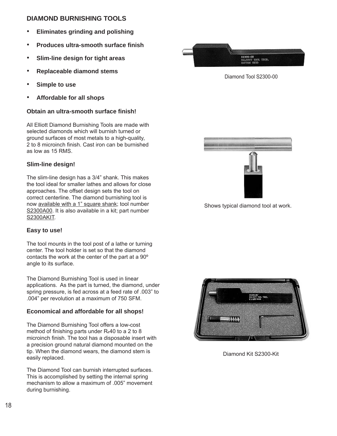#### **DIAMOND BURNISHING TOOLS**

- • **Eliminates grinding and polishing**
- • **Produces ultra-smooth surface fi nish**
- • **Slim-line design for tight areas**
- • **Replaceable diamond stems**
- • **Simple to use**
- • **Affordable for all shops**

#### **Obtain an ultra-smooth surface finish!**

All Elliott Diamond Burnishing Tools are made with selected diamonds which will burnish turned or ground surfaces of most metals to a high-quality, 2 to 8 microinch finish. Cast iron can be burnished as low as 15 RMS.

#### **Slim-line design!**

The slim-line design has a 3/4" shank. This makes the tool ideal for smaller lathes and allows for close approaches. The offset design sets the tool on correct centerline. The diamond burnishing tool is now available with a 1" square shank; tool number S2300A00. It is also available in a kit; part number S2300AKIT.

#### **Easy to use!**

The tool mounts in the tool post of a lathe or turning center. The tool holder is set so that the diamond contacts the work at the center of the part at a 90º angle to its surface.

The Diamond Burnishing Tool is used in linear applications. As the part is turned, the diamond, under spring pressure, is fed across at a feed rate of .003" to .004" per revolution at a maximum of 750 SFM.

#### **Economical and affordable for all shops!**

The Diamond Burnishing Tool offers a low-cost method of finishing parts under R<sub>c</sub>40 to a 2 to 8 microinch finish. The tool has a disposable insert with a precision ground natural diamond mounted on the tip. When the diamond wears, the diamond stem is easily replaced.

The Diamond Tool can burnish interrupted surfaces. This is accomplished by setting the internal spring mechanism to allow a maximum of .005" movement during burnishing.



Diamond Tool S2300-00



Shows typical diamond tool at work.



Diamond Kit S2300-Kit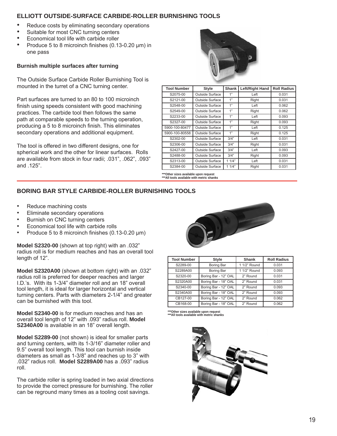#### **ELLIOTT OUTSIDE-SURFACE CARBIDE-ROLLER BURNISHING TOOLS**

- Reduce costs by eliminating secondary operations
- Suitable for most CNC turning centers
- Economical tool life with carbide roller
- Produce 5 to 8 microinch finishes (0.13-0.20 μm) in one pass

#### **Burnish multiple surfaces after turning**

The Outside Surface Carbide Roller Burnishing Tool is mounted in the turret of a CNC turning center.

Part surfaces are turned to an 80 to 100 microinch finish using speeds consistent with good machining practices. The carbide tool then follows the same path at comparable speeds to the turning operation, producing a 5 to 8 microinch finish. This eliminates secondary operations and additional equipment.

The tool is offered in two different designs, one for spherical work and the other for linear surfaces. Rolls are available from stock in four radii; .031", .062", .093" and .125".



| <b>Tool Number</b> | <b>Style</b>           | <b>Shank</b> | Left/Right Hand | <b>Roll Radius</b> |
|--------------------|------------------------|--------------|-----------------|--------------------|
| S2075-00           | <b>Outside Surface</b> | 1"           | Left            | 0.031              |
| S2121-00           | Outside Surface        | 1"           | Right           | 0.031              |
| S2548-00           | Outside Surface        | 1"           | Left            | 0.062              |
| S2549-00           | Outside Surface        | 1"           | Right           | 0.062              |
| S2233-00           | Outside Surface        | 1"           | Left            | 0.093              |
| S2327-00           | Outside Surface        | 1"           | Right           | 0.093              |
| 5900-100-80477     | Outside Surface        | 1"           | Left            | 0.125              |
| 5900-100-80558     | Outside Surface        | 1"           | Right           | 0.125              |
| S2302-00           | Outside Surface        | 3/4"         | Left            | 0.031              |
| S2306-00           | Outside Surface        | 3/4"         | Right           | 0.031              |
| S2427-00           | Outside Surface        | 3/4"         | Left            | 0.093              |
| S2488-00           | Outside Surface        | 3/4"         | Right           | 0.093              |
| S2313-00           | Outside Surface        | 11/4"        | Left            | 0.031              |
| S2384-00           | Outside Surface        | 11/4"        | Right           | 0.031              |

**\*\*\*Other sizes available upon request \*\*\*All tools available with metric shanks**

#### **BORING BAR STYLE CARBIDE-ROLLER BURNISHING TOOLS**

- Reduce machining costs
- Eliminate secondary operations
- Burnish on CNC turning centers
- Economical tool life with carbide rolls
- Produce 5 to 8 microinch finishes  $(0.13-0.20 \mu m)$

**Model S2320-00** (shown at top right) with an .032" radius roll is for medium reaches and has an overall tool length of 12".

**Model S2320A00** (shown at bottom right) with an .032" radius roll is preferred for deeper reaches and larger I.D.'s. With its 1-3/4" diameter roll and an 18" overall tool length, it is ideal for larger horizontal and vertical turning centers. Parts with diameters 2-1/4" and greater can be burnished with this tool.

**Model S2340-00** is for medium reaches and has an overall tool length of 12" with .093" radius roll. **Model S2340A00** is available in an 18" overall length.

**Model S2289-00** (not shown) is ideal for smaller parts and turning centers, with its 1-3/16" diameter roller and 9.5" overall tool length. This tool can burnish inside diameters as small as 1-3/8" and reaches up to 3" with .032" radius roll. **Model S2289A00** has a .093" radius roll.

The carbide roller is spring loaded in two axial directions to provide the correct pressure for burnishing. The roller can be reground many times as a tooling cost savings.



| <b>Tool Number</b> | <b>Style</b>         | Shank        | <b>Roll Radius</b> |  |  |
|--------------------|----------------------|--------------|--------------------|--|--|
| S2289-00           | Boring Bar           | 1 1/2" Round | 0.031              |  |  |
| S2289A00           | Boring Bar           | 1 1/2" Round | 0.093              |  |  |
| S2320-00           | Boring Bar - 12" OAL | 2" Round     | 0.031              |  |  |
| S2320A00           | Boring Bar - 18" OAL | 2" Round     | 0.031              |  |  |
| S2340-00           | Boring Bar - 12" OAL | 2" Round     | 0.093              |  |  |
| S2340A00           | Boring Bar - 18" OAL | 2" Round     | 0.093              |  |  |
| CB127-00           | Boring Bar - 12" OAL | 2" Round     | 0.062              |  |  |
| CB168-00           | Boring Bar - 18" OAL | 2" Round     | 0.062              |  |  |

**\*\*\*Other sizes available upon request \*\*\*All tools available with metric shanks**